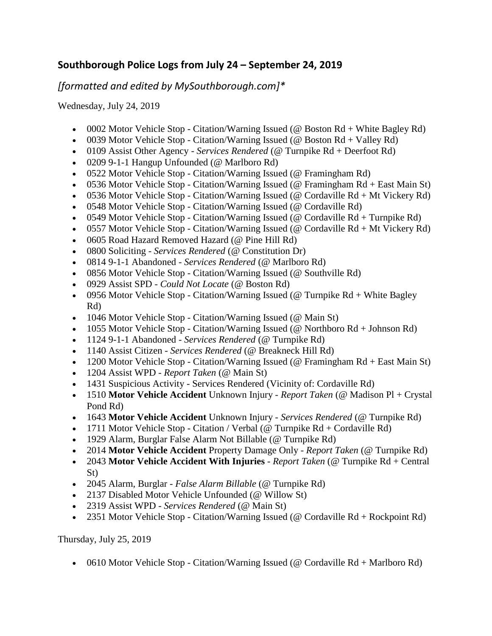## **Southborough Police Logs from July 24 – September 24, 2019**

*[formatted and edited by MySouthborough.com]\**

Wednesday, July 24, 2019

- 0002 Motor Vehicle Stop Citation/Warning Issued (@ Boston  $Rd +$ White Bagley  $Rd$ )
- 0039 Motor Vehicle Stop Citation/Warning Issued ( $@$  Boston Rd + Valley Rd)
- 0109 Assist Other Agency *Services Rendered* (@ Turnpike Rd + Deerfoot Rd)
- 0209 9-1-1 Hangup Unfounded (@ Marlboro Rd)
- 0522 Motor Vehicle Stop Citation/Warning Issued (@ Framingham Rd)
- 0536 Motor Vehicle Stop Citation/Warning Issued ( $@$  Framingham Rd + East Main St)
- 0536 Motor Vehicle Stop Citation/Warning Issued (@ Cordaville  $Rd + Mt$  Vickery  $Rd$ )
- 0548 Motor Vehicle Stop Citation/Warning Issued (@ Cordaville Rd)
- 0549 Motor Vehicle Stop Citation/Warning Issued (@ Cordaville Rd + Turnpike Rd)
- 0557 Motor Vehicle Stop Citation/Warning Issued (@ Cordaville  $Rd + Mt$  Vickery  $Rd$ )
- 0605 Road Hazard Removed Hazard (@ Pine Hill Rd)
- 0800 Soliciting *Services Rendered* (@ Constitution Dr)
- 0814 9-1-1 Abandoned *Services Rendered* (@ Marlboro Rd)
- 0856 Motor Vehicle Stop Citation/Warning Issued (@ Southville Rd)
- 0929 Assist SPD *Could Not Locate* (@ Boston Rd)
- 0956 Motor Vehicle Stop Citation/Warning Issued (@ Turnpike  $Rd + White$  Bagley Rd)
- 1046 Motor Vehicle Stop Citation/Warning Issued (@ Main St)
- 1055 Motor Vehicle Stop Citation/Warning Issued (@ Northboro  $Rd + Johnson Rd$ )
- 1124 9-1-1 Abandoned *Services Rendered* (@ Turnpike Rd)
- 1140 Assist Citizen *Services Rendered* (@ Breakneck Hill Rd)
- 1200 Motor Vehicle Stop Citation/Warning Issued (@ Framingham Rd + East Main St)
- 1204 Assist WPD *Report Taken* (@ Main St)
- 1431 Suspicious Activity Services Rendered (Vicinity of: Cordaville Rd)
- 1510 **Motor Vehicle Accident** Unknown Injury *Report Taken* (@ Madison Pl + Crystal Pond Rd)
- 1643 **Motor Vehicle Accident** Unknown Injury *Services Rendered* (@ Turnpike Rd)
- 1711 Motor Vehicle Stop Citation / Verbal (@ Turnpike  $Rd$  + Cordaville  $Rd$ )
- 1929 Alarm, Burglar False Alarm Not Billable (@ Turnpike Rd)
- 2014 **Motor Vehicle Accident** Property Damage Only *Report Taken* (@ Turnpike Rd)
- 2043 **Motor Vehicle Accident With Injuries** *Report Taken* (@ Turnpike Rd + Central St)
- 2045 Alarm, Burglar *False Alarm Billable* (@ Turnpike Rd)
- 2137 Disabled Motor Vehicle Unfounded (@ Willow St)
- 2319 Assist WPD *Services Rendered* (@ Main St)
- 2351 Motor Vehicle Stop Citation/Warning Issued (@ Cordaville  $Rd + Rockpoint Rd$ )

Thursday, July 25, 2019

0610 Motor Vehicle Stop - Citation/Warning Issued (@ Cordaville Rd + Marlboro Rd)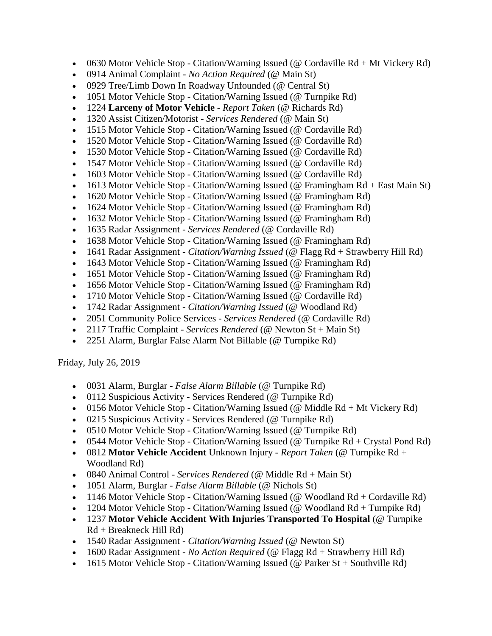- 0630 Motor Vehicle Stop Citation/Warning Issued (@ Cordaville  $Rd + Mt$  Vickery  $Rd$ )
- 0914 Animal Complaint *No Action Required* (@ Main St)
- 0929 Tree/Limb Down In Roadway Unfounded (@ Central St)
- 1051 Motor Vehicle Stop Citation/Warning Issued (@ Turnpike Rd)
- 1224 **Larceny of Motor Vehicle** *Report Taken* (@ Richards Rd)
- 1320 Assist Citizen/Motorist *Services Rendered* (@ Main St)
- 1515 Motor Vehicle Stop Citation/Warning Issued (@ Cordaville Rd)
- 1520 Motor Vehicle Stop Citation/Warning Issued (@ Cordaville Rd)
- 1530 Motor Vehicle Stop Citation/Warning Issued (@ Cordaville Rd)
- 1547 Motor Vehicle Stop Citation/Warning Issued (@ Cordaville Rd)
- 1603 Motor Vehicle Stop Citation/Warning Issued (@ Cordaville Rd)
- 1613 Motor Vehicle Stop Citation/Warning Issued (@ Framingham Rd + East Main St)
- 1620 Motor Vehicle Stop Citation/Warning Issued (@ Framingham Rd)
- 1624 Motor Vehicle Stop Citation/Warning Issued (@ Framingham Rd)
- 1632 Motor Vehicle Stop Citation/Warning Issued (@ Framingham Rd)
- 1635 Radar Assignment *Services Rendered* (@ Cordaville Rd)
- 1638 Motor Vehicle Stop Citation/Warning Issued (@ Framingham Rd)
- 1641 Radar Assignment *Citation/Warning Issued* (@ Flagg Rd + Strawberry Hill Rd)
- 1643 Motor Vehicle Stop Citation/Warning Issued (@ Framingham Rd)
- 1651 Motor Vehicle Stop Citation/Warning Issued (@ Framingham Rd)
- 1656 Motor Vehicle Stop Citation/Warning Issued (@ Framingham Rd)
- 1710 Motor Vehicle Stop Citation/Warning Issued (@ Cordaville Rd)
- 1742 Radar Assignment *Citation/Warning Issued* (@ Woodland Rd)
- 2051 Community Police Services *Services Rendered* (@ Cordaville Rd)
- 2117 Traffic Complaint *Services Rendered* (@ Newton St + Main St)
- 2251 Alarm, Burglar False Alarm Not Billable (@ Turnpike Rd)

Friday, July 26, 2019

- 0031 Alarm, Burglar *False Alarm Billable* (@ Turnpike Rd)
- 0112 Suspicious Activity Services Rendered (@ Turnpike Rd)
- 0156 Motor Vehicle Stop Citation/Warning Issued (@ Middle  $Rd + Mt$  Vickery  $Rd$ )
- 0215 Suspicious Activity Services Rendered (@ Turnpike Rd)
- 0510 Motor Vehicle Stop Citation/Warning Issued (@ Turnpike Rd)
- 0544 Motor Vehicle Stop Citation/Warning Issued (@ Turnpike  $Rd + C$ rystal Pond Rd)
- 0812 **Motor Vehicle Accident** Unknown Injury *Report Taken* (@ Turnpike Rd + Woodland Rd)
- 0840 Animal Control *Services Rendered* (@ Middle Rd + Main St)
- 1051 Alarm, Burglar *False Alarm Billable* (@ Nichols St)
- 1146 Motor Vehicle Stop Citation/Warning Issued (@ Woodland  $Rd$  + Cordaville Rd)
- 1204 Motor Vehicle Stop Citation/Warning Issued (@ Woodland Rd + Turnpike Rd)
- 1237 **Motor Vehicle Accident With Injuries Transported To Hospital** (@ Turnpike Rd + Breakneck Hill Rd)
- 1540 Radar Assignment *Citation/Warning Issued* (@ Newton St)
- 1600 Radar Assignment *No Action Required* (@ Flagg Rd + Strawberry Hill Rd)
- 1615 Motor Vehicle Stop Citation/Warning Issued (@ Parker St + Southville Rd)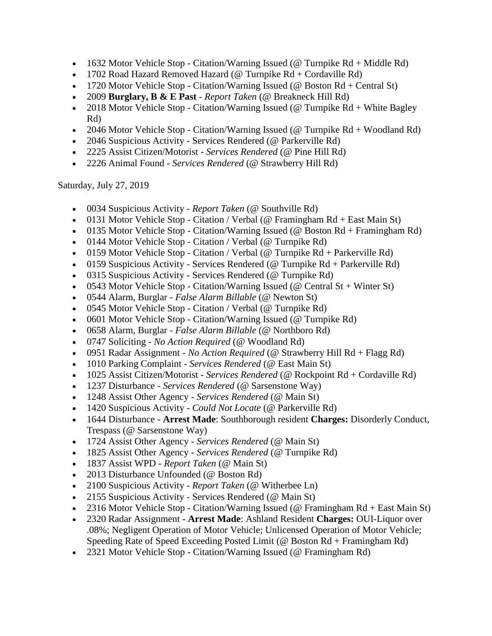- 1632 Motor Vehicle Stop Citation/Warning Issued (@ Turnpike  $Rd + Middle Rd$ )
- 1702 Road Hazard Removed Hazard (@ Turnpike Rd + Cordaville Rd)
- 1720 Motor Vehicle Stop Citation/Warning Issued ( $@$  Boston Rd + Central St)
- 2009 **Burglary, B & E Past** *Report Taken* (@ Breakneck Hill Rd)
- 2018 Motor Vehicle Stop Citation/Warning Issued (@ Turnpike  $Rd + White$  Bagley Rd)
- 2046 Motor Vehicle Stop Citation/Warning Issued (@ Turnpike  $Rd + W$ oodland  $Rd$ )
- 2046 Suspicious Activity Services Rendered (@ Parkerville Rd)
- 2225 Assist Citizen/Motorist *Services Rendered* (@ Pine Hill Rd)
- 2226 Animal Found *Services Rendered* (@ Strawberry Hill Rd)

Saturday, July 27, 2019

- 0034 Suspicious Activity *Report Taken* (@ Southville Rd)
- 0131 Motor Vehicle Stop Citation / Verbal (@ Framingham  $Rd + East$  Main St)
- 0135 Motor Vehicle Stop Citation/Warning Issued ( $@$  Boston Rd + Framingham Rd)
- 0144 Motor Vehicle Stop Citation / Verbal (@ Turnpike Rd)
- 0159 Motor Vehicle Stop Citation / Verbal (@ Turnpike  $Rd$  + Parkerville  $Rd$ )
- 0159 Suspicious Activity Services Rendered ( $@$  Turnpike Rd + Parkerville Rd)
- 0315 Suspicious Activity Services Rendered (@ Turnpike Rd)
- 0543 Motor Vehicle Stop Citation/Warning Issued (@ Central St + Winter St)
- 0544 Alarm, Burglar *False Alarm Billable* (@ Newton St)
- 0545 Motor Vehicle Stop Citation / Verbal (@ Turnpike Rd)
- 0601 Motor Vehicle Stop Citation/Warning Issued (@ Turnpike Rd)
- 0658 Alarm, Burglar *False Alarm Billable* (@ Northboro Rd)
- 0747 Soliciting *No Action Required* (@ Woodland Rd)
- 0951 Radar Assignment *No Action Required* (@ Strawberry Hill Rd + Flagg Rd)
- 1010 Parking Complaint *Services Rendered* (@ East Main St)
- 1025 Assist Citizen/Motorist *Services Rendered* (@ Rockpoint Rd + Cordaville Rd)
- 1237 Disturbance *Services Rendered* (@ Sarsenstone Way)
- 1248 Assist Other Agency *Services Rendered* (@ Main St)
- 1420 Suspicious Activity *Could Not Locate* (@ Parkerville Rd)
- 1644 Disturbance **Arrest Made**: Southborough resident **Charges:** Disorderly Conduct, Trespass (@ Sarsenstone Way)
- 1724 Assist Other Agency *Services Rendered* (@ Main St)
- 1825 Assist Other Agency *Services Rendered* (@ Turnpike Rd)
- 1837 Assist WPD *Report Taken* (@ Main St)
- 2013 Disturbance Unfounded (@ Boston Rd)
- 2100 Suspicious Activity *Report Taken* (@ Witherbee Ln)
- 2155 Suspicious Activity Services Rendered (@ Main St)
- 2316 Motor Vehicle Stop Citation/Warning Issued (@ Framingham Rd + East Main St)
- 2320 Radar Assignment **Arrest Made**: Ashland Resident **Charges:** OUI-Liquor over .08%; Negligent Operation of Motor Vehicle; Unlicensed Operation of Motor Vehicle; Speeding Rate of Speed Exceeding Posted Limit (@ Boston Rd + Framingham Rd)
- 2321 Motor Vehicle Stop Citation/Warning Issued (@ Framingham Rd)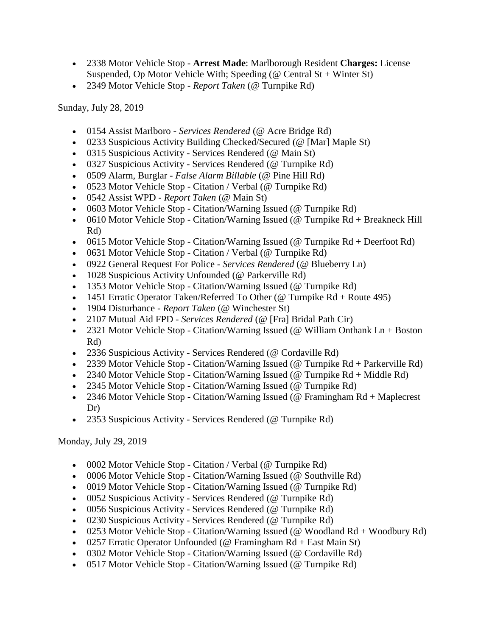- 2338 Motor Vehicle Stop **Arrest Made**: Marlborough Resident **Charges:** License Suspended, Op Motor Vehicle With; Speeding ( $@$  Central St + Winter St)
- 2349 Motor Vehicle Stop *Report Taken* (@ Turnpike Rd)

Sunday, July 28, 2019

- 0154 Assist Marlboro *Services Rendered* (@ Acre Bridge Rd)
- 0233 Suspicious Activity Building Checked/Secured (@ [Mar] Maple St)
- 0315 Suspicious Activity Services Rendered (@ Main St)
- 0327 Suspicious Activity Services Rendered (@ Turnpike Rd)
- 0509 Alarm, Burglar *False Alarm Billable* (@ Pine Hill Rd)
- 0523 Motor Vehicle Stop Citation / Verbal (@ Turnpike Rd)
- 0542 Assist WPD *Report Taken* (@ Main St)
- 0603 Motor Vehicle Stop Citation/Warning Issued (@ Turnpike Rd)
- 0610 Motor Vehicle Stop Citation/Warning Issued (@ Turnpike Rd + Breakneck Hill Rd)
- 0615 Motor Vehicle Stop Citation/Warning Issued (@ Turnpike  $Rd +$  Deerfoot  $Rd$ )
- 0631 Motor Vehicle Stop Citation / Verbal (@ Turnpike Rd)
- 0922 General Request For Police *Services Rendered* (@ Blueberry Ln)
- 1028 Suspicious Activity Unfounded (@ Parkerville Rd)
- 1353 Motor Vehicle Stop Citation/Warning Issued (@ Turnpike Rd)
- 1451 Erratic Operator Taken/Referred To Other (@ Turnpike  $Rd + R$ oute 495)
- 1904 Disturbance *Report Taken* (@ Winchester St)
- 2107 Mutual Aid FPD *Services Rendered* (@ [Fra] Bridal Path Cir)
- 2321 Motor Vehicle Stop Citation/Warning Issued (@ William Onthank  $Ln + Boston$ Rd)
- 2336 Suspicious Activity Services Rendered (@ Cordaville Rd)
- 2339 Motor Vehicle Stop Citation/Warning Issued (@ Turnpike Rd + Parkerville Rd)
- 2340 Motor Vehicle Stop Citation/Warning Issued (@ Turnpike  $Rd + Middle Rd$ )
- 2345 Motor Vehicle Stop Citation/Warning Issued (@ Turnpike Rd)
- 2346 Motor Vehicle Stop Citation/Warning Issued (@ Framingham Rd + Maplecrest Dr)
- 2353 Suspicious Activity Services Rendered (@ Turnpike Rd)

Monday, July 29, 2019

- 0002 Motor Vehicle Stop Citation / Verbal (@ Turnpike Rd)
- 0006 Motor Vehicle Stop Citation/Warning Issued (@ Southville Rd)
- 0019 Motor Vehicle Stop Citation/Warning Issued (@ Turnpike Rd)
- 0052 Suspicious Activity Services Rendered (@ Turnpike Rd)
- 0056 Suspicious Activity Services Rendered (@ Turnpike Rd)
- 0230 Suspicious Activity Services Rendered (@ Turnpike Rd)
- 0253 Motor Vehicle Stop Citation/Warning Issued (@ Woodland  $Rd + W$ oodbury  $Rd$ )
- 0257 Erratic Operator Unfounded (@ Framingham  $Rd + East Main St$ )
- 0302 Motor Vehicle Stop Citation/Warning Issued (@ Cordaville Rd)
- 0517 Motor Vehicle Stop Citation/Warning Issued (@ Turnpike Rd)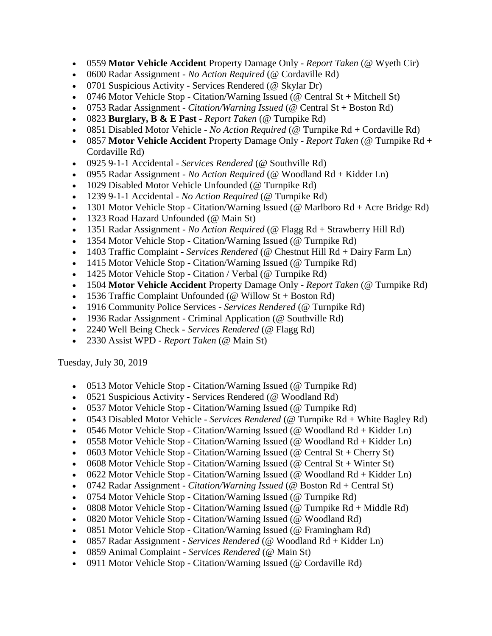- 0559 **Motor Vehicle Accident** Property Damage Only *Report Taken* (@ Wyeth Cir)
- 0600 Radar Assignment *No Action Required* (@ Cordaville Rd)
- 0701 Suspicious Activity Services Rendered (@ Skylar Dr)
- 0746 Motor Vehicle Stop Citation/Warning Issued (@ Central St + Mitchell St)
- 0753 Radar Assignment *Citation/Warning Issued* (@ Central St + Boston Rd)
- 0823 **Burglary, B & E Past** *Report Taken* (@ Turnpike Rd)
- 0851 Disabled Motor Vehicle *No Action Required* (@ Turnpike Rd + Cordaville Rd)
- 0857 **Motor Vehicle Accident** Property Damage Only *Report Taken* (@ Turnpike Rd + Cordaville Rd)
- 0925 9-1-1 Accidental *Services Rendered* (@ Southville Rd)
- 0955 Radar Assignment *No Action Required* (@ Woodland Rd + Kidder Ln)
- 1029 Disabled Motor Vehicle Unfounded (@ Turnpike Rd)
- 1239 9-1-1 Accidental *No Action Required* (@ Turnpike Rd)
- 1301 Motor Vehicle Stop Citation/Warning Issued (@ Marlboro Rd + Acre Bridge Rd)
- 1323 Road Hazard Unfounded (@ Main St)
- 1351 Radar Assignment *No Action Required* (@ Flagg Rd + Strawberry Hill Rd)
- 1354 Motor Vehicle Stop Citation/Warning Issued (@ Turnpike Rd)
- 1403 Traffic Complaint *Services Rendered* (@ Chestnut Hill Rd + Dairy Farm Ln)
- 1415 Motor Vehicle Stop Citation/Warning Issued (@ Turnpike Rd)
- 1425 Motor Vehicle Stop Citation / Verbal (@ Turnpike Rd)
- 1504 **Motor Vehicle Accident** Property Damage Only *Report Taken* (@ Turnpike Rd)
- 1536 Traffic Complaint Unfounded ( $@$  Willow St + Boston Rd)
- 1916 Community Police Services *Services Rendered* (@ Turnpike Rd)
- 1936 Radar Assignment Criminal Application (@ Southville Rd)
- 2240 Well Being Check *Services Rendered* (@ Flagg Rd)
- 2330 Assist WPD *Report Taken* (@ Main St)

Tuesday, July 30, 2019

- 0513 Motor Vehicle Stop Citation/Warning Issued (@ Turnpike Rd)
- 0521 Suspicious Activity Services Rendered (@ Woodland Rd)
- 0537 Motor Vehicle Stop Citation/Warning Issued (@ Turnpike Rd)
- 0543 Disabled Motor Vehicle *Services Rendered* (@ Turnpike Rd + White Bagley Rd)
- 0546 Motor Vehicle Stop Citation/Warning Issued ( $@$  Woodland Rd + Kidder Ln)
- 0558 Motor Vehicle Stop Citation/Warning Issued ( $@$  Woodland Rd + Kidder Ln)
- 0603 Motor Vehicle Stop Citation/Warning Issued (@ Central St + Cherry St)
- 0608 Motor Vehicle Stop Citation/Warning Issued (@ Central  $St + Winter St$ )
- 0622 Motor Vehicle Stop Citation/Warning Issued ( $@$  Woodland Rd + Kidder Ln)
- 0742 Radar Assignment *Citation/Warning Issued* (@ Boston Rd + Central St)
- 0754 Motor Vehicle Stop Citation/Warning Issued (@ Turnpike Rd)
- 0808 Motor Vehicle Stop Citation/Warning Issued (@ Turnpike  $Rd + Middle Rd$ )
- 0820 Motor Vehicle Stop Citation/Warning Issued (@ Woodland Rd)
- 0851 Motor Vehicle Stop Citation/Warning Issued (@ Framingham Rd)
- 0857 Radar Assignment *Services Rendered* (@ Woodland Rd + Kidder Ln)
- 0859 Animal Complaint *Services Rendered* (@ Main St)
- 0911 Motor Vehicle Stop Citation/Warning Issued (@ Cordaville Rd)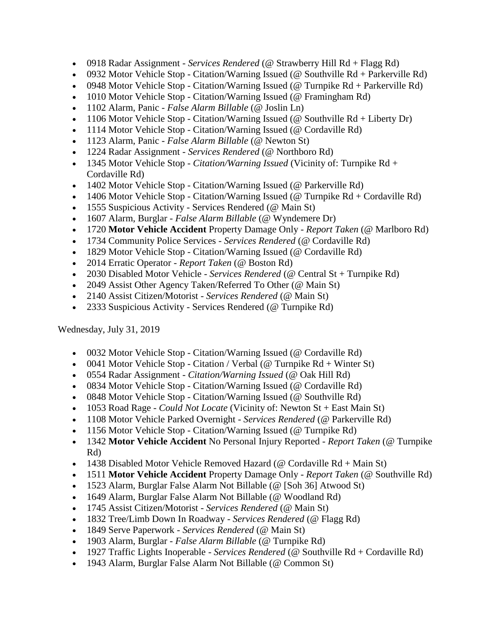- 0918 Radar Assignment *Services Rendered* (@ Strawberry Hill Rd + Flagg Rd)
- 0932 Motor Vehicle Stop Citation/Warning Issued (@ Southville  $Rd +$  Parkerville  $Rd$ )
- 0948 Motor Vehicle Stop Citation/Warning Issued (@ Turnpike Rd + Parkerville Rd)
- 1010 Motor Vehicle Stop Citation/Warning Issued (@ Framingham Rd)
- 1102 Alarm, Panic *False Alarm Billable* (@ Joslin Ln)
- 1106 Motor Vehicle Stop Citation/Warning Issued ( $@$  Southville Rd + Liberty Dr)
- 1114 Motor Vehicle Stop Citation/Warning Issued (@ Cordaville Rd)
- 1123 Alarm, Panic *False Alarm Billable* (@ Newton St)
- 1224 Radar Assignment *Services Rendered* (@ Northboro Rd)
- 1345 Motor Vehicle Stop *Citation/Warning Issued* (Vicinity of: Turnpike Rd + Cordaville Rd)
- 1402 Motor Vehicle Stop Citation/Warning Issued (@ Parkerville Rd)
- 1406 Motor Vehicle Stop Citation/Warning Issued (@ Turnpike Rd + Cordaville Rd)
- 1555 Suspicious Activity Services Rendered (@ Main St)
- 1607 Alarm, Burglar *False Alarm Billable* (@ Wyndemere Dr)
- 1720 **Motor Vehicle Accident** Property Damage Only *Report Taken* (@ Marlboro Rd)
- 1734 Community Police Services *Services Rendered* (@ Cordaville Rd)
- 1829 Motor Vehicle Stop Citation/Warning Issued (@ Cordaville Rd)
- 2014 Erratic Operator *Report Taken* (@ Boston Rd)
- 2030 Disabled Motor Vehicle *Services Rendered* (@ Central St + Turnpike Rd)
- 2049 Assist Other Agency Taken/Referred To Other (@ Main St)
- 2140 Assist Citizen/Motorist *Services Rendered* (@ Main St)
- 2333 Suspicious Activity Services Rendered (@ Turnpike Rd)

Wednesday, July 31, 2019

- 0032 Motor Vehicle Stop Citation/Warning Issued (@ Cordaville Rd)
- 0041 Motor Vehicle Stop Citation / Verbal (@ Turnpike  $Rd +$  Winter St)
- 0554 Radar Assignment *Citation/Warning Issued* (@ Oak Hill Rd)
- 0834 Motor Vehicle Stop Citation/Warning Issued (@ Cordaville Rd)
- 0848 Motor Vehicle Stop Citation/Warning Issued (@ Southville Rd)
- 1053 Road Rage *Could Not Locate* (Vicinity of: Newton St + East Main St)
- 1108 Motor Vehicle Parked Overnight *Services Rendered* (@ Parkerville Rd)
- 1156 Motor Vehicle Stop Citation/Warning Issued (@ Turnpike Rd)
- 1342 **Motor Vehicle Accident** No Personal Injury Reported *Report Taken* (@ Turnpike Rd)
- 1438 Disabled Motor Vehicle Removed Hazard (@ Cordaville  $Rd + Main St$ )
- 1511 **Motor Vehicle Accident** Property Damage Only *Report Taken* (@ Southville Rd)
- 1523 Alarm, Burglar False Alarm Not Billable (@ [Soh 36] Atwood St)
- 1649 Alarm, Burglar False Alarm Not Billable (@ Woodland Rd)
- 1745 Assist Citizen/Motorist *Services Rendered* (@ Main St)
- 1832 Tree/Limb Down In Roadway *Services Rendered* (@ Flagg Rd)
- 1849 Serve Paperwork *Services Rendered* (@ Main St)
- 1903 Alarm, Burglar *False Alarm Billable* (@ Turnpike Rd)
- 1927 Traffic Lights Inoperable *Services Rendered* (@ Southville Rd + Cordaville Rd)
- 1943 Alarm, Burglar False Alarm Not Billable (@ Common St)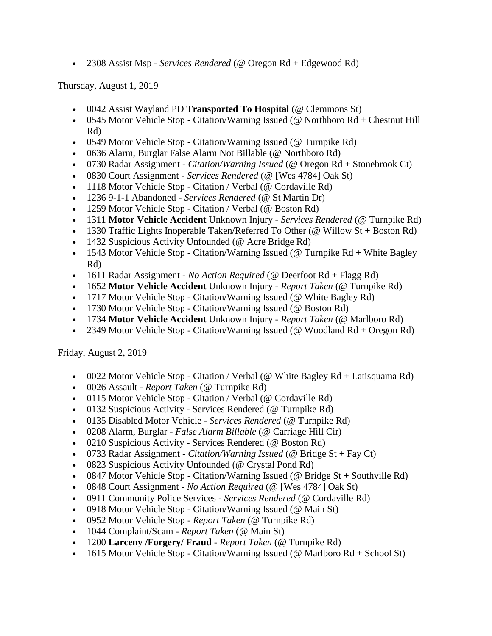2308 Assist Msp - *Services Rendered* (@ Oregon Rd + Edgewood Rd)

Thursday, August 1, 2019

- 0042 Assist Wayland PD **Transported To Hospital** (@ Clemmons St)
- 0545 Motor Vehicle Stop Citation/Warning Issued ( $@$  Northboro Rd + Chestnut Hill Rd)
- 0549 Motor Vehicle Stop Citation/Warning Issued (@ Turnpike Rd)
- 0636 Alarm, Burglar False Alarm Not Billable (@ Northboro Rd)
- 0730 Radar Assignment *Citation/Warning Issued* (@ Oregon Rd + Stonebrook Ct)
- 0830 Court Assignment *Services Rendered* (@ [Wes 4784] Oak St)
- 1118 Motor Vehicle Stop Citation / Verbal (@ Cordaville Rd)
- 1236 9-1-1 Abandoned *Services Rendered* (@ St Martin Dr)
- 1259 Motor Vehicle Stop Citation / Verbal (@ Boston Rd)
- 1311 **Motor Vehicle Accident** Unknown Injury *Services Rendered* (@ Turnpike Rd)
- 1330 Traffic Lights Inoperable Taken/Referred To Other (@ Willow St + Boston Rd)
- 1432 Suspicious Activity Unfounded (@ Acre Bridge Rd)
- 1543 Motor Vehicle Stop Citation/Warning Issued (@ Turnpike  $Rd + White$  Bagley Rd)
- 1611 Radar Assignment *No Action Required* (@ Deerfoot Rd + Flagg Rd)
- 1652 **Motor Vehicle Accident** Unknown Injury *Report Taken* (@ Turnpike Rd)
- 1717 Motor Vehicle Stop Citation/Warning Issued (@ White Bagley Rd)
- 1730 Motor Vehicle Stop Citation/Warning Issued (@ Boston Rd)
- 1734 **Motor Vehicle Accident** Unknown Injury *Report Taken* (@ Marlboro Rd)
- 2349 Motor Vehicle Stop Citation/Warning Issued (@ Woodland Rd + Oregon Rd)

Friday, August 2, 2019

- 0022 Motor Vehicle Stop Citation / Verbal (@ White Bagley  $Rd +$  Latisquama Rd)
- 0026 Assault *Report Taken* (@ Turnpike Rd)
- 0115 Motor Vehicle Stop Citation / Verbal (@ Cordaville Rd)
- 0132 Suspicious Activity Services Rendered (@ Turnpike Rd)
- 0135 Disabled Motor Vehicle *Services Rendered* (@ Turnpike Rd)
- 0208 Alarm, Burglar *False Alarm Billable* (@ Carriage Hill Cir)
- 0210 Suspicious Activity Services Rendered (@ Boston Rd)
- 0733 Radar Assignment *Citation/Warning Issued* (@ Bridge St + Fay Ct)
- 0823 Suspicious Activity Unfounded (@ Crystal Pond Rd)
- 0847 Motor Vehicle Stop Citation/Warning Issued (@ Bridge  $St +$  Southville Rd)
- 0848 Court Assignment *No Action Required* (@ [Wes 4784] Oak St)
- 0911 Community Police Services *Services Rendered* (@ Cordaville Rd)
- 0918 Motor Vehicle Stop Citation/Warning Issued (@ Main St)
- 0952 Motor Vehicle Stop *Report Taken* (@ Turnpike Rd)
- 1044 Complaint/Scam *Report Taken* (@ Main St)
- 1200 **Larceny /Forgery/ Fraud** *Report Taken* (@ Turnpike Rd)
- 1615 Motor Vehicle Stop Citation/Warning Issued (@ Marlboro  $Rd + School St$ )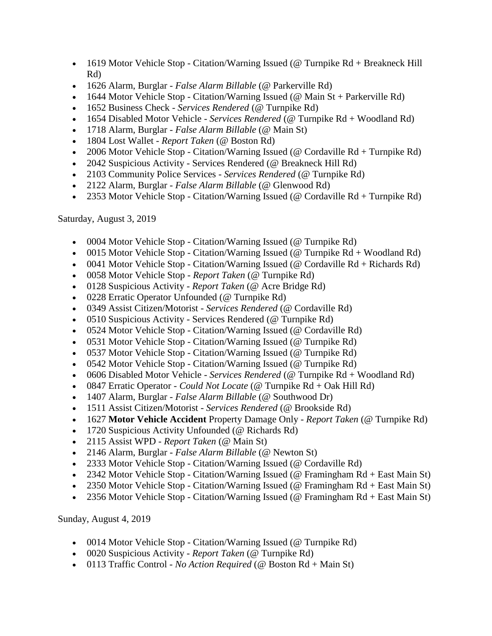- 1619 Motor Vehicle Stop Citation/Warning Issued (@ Turnpike Rd + Breakneck Hill Rd)
- 1626 Alarm, Burglar *False Alarm Billable* (@ Parkerville Rd)
- 1644 Motor Vehicle Stop Citation/Warning Issued ( $\omega$  Main St + Parkerville Rd)
- 1652 Business Check *Services Rendered* (@ Turnpike Rd)
- 1654 Disabled Motor Vehicle *Services Rendered* (@ Turnpike Rd + Woodland Rd)
- 1718 Alarm, Burglar *False Alarm Billable* (@ Main St)
- 1804 Lost Wallet *Report Taken* (@ Boston Rd)
- 2006 Motor Vehicle Stop Citation/Warning Issued (@ Cordaville Rd + Turnpike Rd)
- 2042 Suspicious Activity Services Rendered (@ Breakneck Hill Rd)
- 2103 Community Police Services *Services Rendered* (@ Turnpike Rd)
- 2122 Alarm, Burglar *False Alarm Billable* (@ Glenwood Rd)
- 2353 Motor Vehicle Stop Citation/Warning Issued (@ Cordaville Rd + Turnpike Rd)

Saturday, August 3, 2019

- 0004 Motor Vehicle Stop Citation/Warning Issued (@ Turnpike Rd)
- 0015 Motor Vehicle Stop Citation/Warning Issued ( $\omega$  Turnpike Rd + Woodland Rd)
- 0041 Motor Vehicle Stop Citation/Warning Issued ( $@$  Cordaville  $Rd + Richards Rd$ )
- 0058 Motor Vehicle Stop *Report Taken* (@ Turnpike Rd)
- 0128 Suspicious Activity *Report Taken* (@ Acre Bridge Rd)
- 0228 Erratic Operator Unfounded (@ Turnpike Rd)
- 0349 Assist Citizen/Motorist *Services Rendered* (@ Cordaville Rd)
- 0510 Suspicious Activity Services Rendered (@ Turnpike Rd)
- 0524 Motor Vehicle Stop Citation/Warning Issued (@ Cordaville Rd)
- 0531 Motor Vehicle Stop Citation/Warning Issued (@ Turnpike Rd)
- 0537 Motor Vehicle Stop Citation/Warning Issued (@ Turnpike Rd)
- 0542 Motor Vehicle Stop Citation/Warning Issued (@ Turnpike Rd)
- 0606 Disabled Motor Vehicle *Services Rendered* (@ Turnpike Rd + Woodland Rd)
- 0847 Erratic Operator *Could Not Locate* (@ Turnpike Rd + Oak Hill Rd)
- 1407 Alarm, Burglar *False Alarm Billable* (@ Southwood Dr)
- 1511 Assist Citizen/Motorist *Services Rendered* (@ Brookside Rd)
- 1627 **Motor Vehicle Accident** Property Damage Only *Report Taken* (@ Turnpike Rd)
- 1720 Suspicious Activity Unfounded (@ Richards Rd)
- 2115 Assist WPD *Report Taken* (@ Main St)
- 2146 Alarm, Burglar *False Alarm Billable* (@ Newton St)
- 2333 Motor Vehicle Stop Citation/Warning Issued (@ Cordaville Rd)
- 2342 Motor Vehicle Stop Citation/Warning Issued (@ Framingham Rd + East Main St)
- 2350 Motor Vehicle Stop Citation/Warning Issued (@ Framingham  $Rd + East$  Main St)
- 2356 Motor Vehicle Stop Citation/Warning Issued (@ Framingham Rd + East Main St)

Sunday, August 4, 2019

- 0014 Motor Vehicle Stop Citation/Warning Issued (@ Turnpike Rd)
- 0020 Suspicious Activity *Report Taken* (@ Turnpike Rd)
- 0113 Traffic Control *No Action Required* (@ Boston Rd + Main St)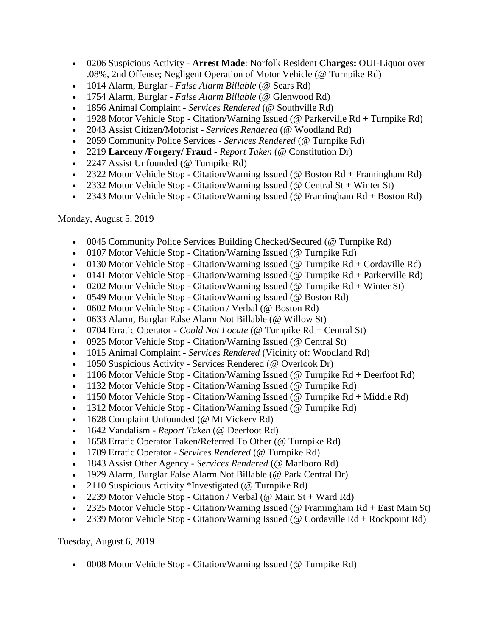- 0206 Suspicious Activity **Arrest Made**: Norfolk Resident **Charges:** OUI-Liquor over .08%, 2nd Offense; Negligent Operation of Motor Vehicle (@ Turnpike Rd)
- 1014 Alarm, Burglar *False Alarm Billable* (@ Sears Rd)
- 1754 Alarm, Burglar *False Alarm Billable* (@ Glenwood Rd)
- 1856 Animal Complaint *Services Rendered* (@ Southville Rd)
- 1928 Motor Vehicle Stop Citation/Warning Issued (@ Parkerville Rd + Turnpike Rd)
- 2043 Assist Citizen/Motorist *Services Rendered* (@ Woodland Rd)
- 2059 Community Police Services *Services Rendered* (@ Turnpike Rd)
- 2219 **Larceny /Forgery/ Fraud**  *Report Taken* (@ Constitution Dr)
- 2247 Assist Unfounded (@ Turnpike Rd)
- 2322 Motor Vehicle Stop Citation/Warning Issued (@ Boston Rd + Framingham Rd)
- 2332 Motor Vehicle Stop Citation/Warning Issued (@ Central St + Winter St)
- 2343 Motor Vehicle Stop Citation/Warning Issued (@ Framingham Rd + Boston Rd)

Monday, August 5, 2019

- 0045 Community Police Services Building Checked/Secured (@ Turnpike Rd)
- 0107 Motor Vehicle Stop Citation/Warning Issued (@ Turnpike Rd)
- 0130 Motor Vehicle Stop Citation/Warning Issued (@ Turnpike  $Rd + Cordaville Rd$ )
- 0141 Motor Vehicle Stop Citation/Warning Issued (@ Turnpike Rd + Parkerville Rd)
- 0202 Motor Vehicle Stop Citation/Warning Issued (@ Turnpike  $Rd +$  Winter St)
- 0549 Motor Vehicle Stop Citation/Warning Issued (@ Boston Rd)
- 0602 Motor Vehicle Stop Citation / Verbal (@ Boston Rd)
- 0633 Alarm, Burglar False Alarm Not Billable (@ Willow St)
- 0704 Erratic Operator *Could Not Locate* (@ Turnpike Rd + Central St)
- 0925 Motor Vehicle Stop Citation/Warning Issued (@ Central St)
- 1015 Animal Complaint *Services Rendered* (Vicinity of: Woodland Rd)
- 1050 Suspicious Activity Services Rendered (@ Overlook Dr)
- 1106 Motor Vehicle Stop Citation/Warning Issued (@ Turnpike Rd + Deerfoot Rd)
- 1132 Motor Vehicle Stop Citation/Warning Issued (@ Turnpike Rd)
- 1150 Motor Vehicle Stop Citation/Warning Issued (@ Turnpike  $Rd + Middle Rd$ )
- 1312 Motor Vehicle Stop Citation/Warning Issued (@ Turnpike Rd)
- 1628 Complaint Unfounded (@ Mt Vickery Rd)
- 1642 Vandalism *Report Taken* (@ Deerfoot Rd)
- 1658 Erratic Operator Taken/Referred To Other (@ Turnpike Rd)
- 1709 Erratic Operator *Services Rendered* (@ Turnpike Rd)
- 1843 Assist Other Agency *Services Rendered* (@ Marlboro Rd)
- 1929 Alarm, Burglar False Alarm Not Billable (@ Park Central Dr)
- 2110 Suspicious Activity \*Investigated (@ Turnpike Rd)
- 2239 Motor Vehicle Stop Citation / Verbal ( $@$  Main St + Ward Rd)
- 2325 Motor Vehicle Stop Citation/Warning Issued (@ Framingham Rd + East Main St)
- 2339 Motor Vehicle Stop Citation/Warning Issued (@ Cordaville  $Rd + Rockpoint Rd$ )

Tuesday, August 6, 2019

0008 Motor Vehicle Stop - Citation/Warning Issued (@ Turnpike Rd)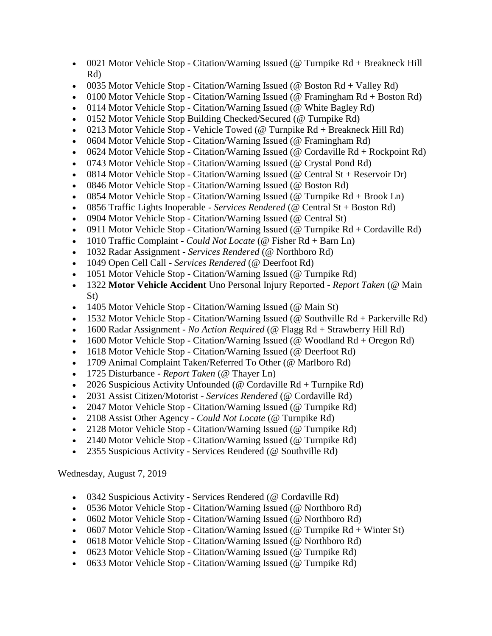- 0021 Motor Vehicle Stop Citation/Warning Issued (@ Turnpike Rd + Breakneck Hill Rd)
- 0035 Motor Vehicle Stop Citation/Warning Issued (@ Boston Rd + Valley Rd)
- 0100 Motor Vehicle Stop Citation/Warning Issued ( $@$  Framingham  $Rd + Boston Rd)$
- 0114 Motor Vehicle Stop Citation/Warning Issued (@ White Bagley Rd)
- 0152 Motor Vehicle Stop Building Checked/Secured (@ Turnpike Rd)
- 0213 Motor Vehicle Stop Vehicle Towed (@ Turnpike  $Rd + B$ reakneck Hill  $Rd$ )
- 0604 Motor Vehicle Stop Citation/Warning Issued (@ Framingham Rd)
- 0624 Motor Vehicle Stop Citation/Warning Issued (@ Cordaville  $Rd + Rockpoint Rd$ )
- 0743 Motor Vehicle Stop Citation/Warning Issued (@ Crystal Pond Rd)
- 0814 Motor Vehicle Stop Citation/Warning Issued (@ Central St + Reservoir Dr)
- 0846 Motor Vehicle Stop Citation/Warning Issued (@ Boston Rd)
- 0854 Motor Vehicle Stop Citation/Warning Issued (@ Turnpike  $Rd + Brook$  Ln)
- 0856 Traffic Lights Inoperable *Services Rendered* (@ Central St + Boston Rd)
- 0904 Motor Vehicle Stop Citation/Warning Issued (@ Central St)
- 0911 Motor Vehicle Stop Citation/Warning Issued (@ Turnpike  $Rd + Cordaville Rd$ )
- 1010 Traffic Complaint *Could Not Locate* (@ Fisher Rd + Barn Ln)
- 1032 Radar Assignment *Services Rendered* (@ Northboro Rd)
- 1049 Open Cell Call *Services Rendered* (@ Deerfoot Rd)
- 1051 Motor Vehicle Stop Citation/Warning Issued (@ Turnpike Rd)
- 1322 **Motor Vehicle Accident** Uno Personal Injury Reported *Report Taken* (@ Main St)
- 1405 Motor Vehicle Stop Citation/Warning Issued (@ Main St)
- 1532 Motor Vehicle Stop Citation/Warning Issued (@ Southville Rd + Parkerville Rd)
- 1600 Radar Assignment *No Action Required* (@ Flagg Rd + Strawberry Hill Rd)
- 1600 Motor Vehicle Stop Citation/Warning Issued ( $@$  Woodland Rd + Oregon Rd)
- 1618 Motor Vehicle Stop Citation/Warning Issued (@ Deerfoot Rd)
- 1709 Animal Complaint Taken/Referred To Other (@ Marlboro Rd)
- 1725 Disturbance *Report Taken* (@ Thayer Ln)
- 2026 Suspicious Activity Unfounded ( $\omega$  Cordaville Rd + Turnpike Rd)
- 2031 Assist Citizen/Motorist *Services Rendered* (@ Cordaville Rd)
- 2047 Motor Vehicle Stop Citation/Warning Issued (@ Turnpike Rd)
- 2108 Assist Other Agency *Could Not Locate* (@ Turnpike Rd)
- 2128 Motor Vehicle Stop Citation/Warning Issued (@ Turnpike Rd)
- 2140 Motor Vehicle Stop Citation/Warning Issued (@ Turnpike Rd)
- 2355 Suspicious Activity Services Rendered (@ Southville Rd)

Wednesday, August 7, 2019

- 0342 Suspicious Activity Services Rendered (@ Cordaville Rd)
- 0536 Motor Vehicle Stop Citation/Warning Issued (@ Northboro Rd)
- 0602 Motor Vehicle Stop Citation/Warning Issued (@ Northboro Rd)
- 0607 Motor Vehicle Stop Citation/Warning Issued ( $@$  Turnpike Rd + Winter St)
- 0618 Motor Vehicle Stop Citation/Warning Issued (@ Northboro Rd)
- 0623 Motor Vehicle Stop Citation/Warning Issued (@ Turnpike Rd)
- 0633 Motor Vehicle Stop Citation/Warning Issued (@ Turnpike Rd)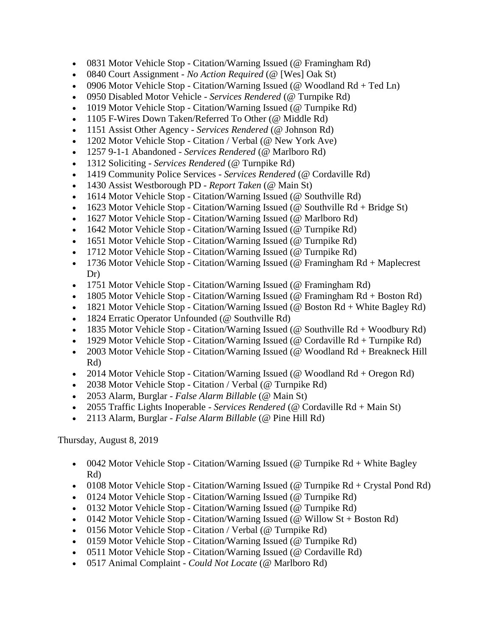- 0831 Motor Vehicle Stop Citation/Warning Issued (@ Framingham Rd)
- 0840 Court Assignment *No Action Required* (@ [Wes] Oak St)
- 0906 Motor Vehicle Stop Citation/Warning Issued (@ Woodland  $Rd + Ted \, Ln$ )
- 0950 Disabled Motor Vehicle *Services Rendered* (@ Turnpike Rd)
- 1019 Motor Vehicle Stop Citation/Warning Issued (@ Turnpike Rd)
- 1105 F-Wires Down Taken/Referred To Other (@ Middle Rd)
- 1151 Assist Other Agency *Services Rendered* (@ Johnson Rd)
- 1202 Motor Vehicle Stop Citation / Verbal (@ New York Ave)
- 1257 9-1-1 Abandoned *Services Rendered* (@ Marlboro Rd)
- 1312 Soliciting *Services Rendered* (@ Turnpike Rd)
- 1419 Community Police Services *Services Rendered* (@ Cordaville Rd)
- 1430 Assist Westborough PD *Report Taken* (@ Main St)
- 1614 Motor Vehicle Stop Citation/Warning Issued (@ Southville Rd)
- 1623 Motor Vehicle Stop Citation/Warning Issued (@ Southville  $Rd + Bridge St$ )
- 1627 Motor Vehicle Stop Citation/Warning Issued (@ Marlboro Rd)
- 1642 Motor Vehicle Stop Citation/Warning Issued (@ Turnpike Rd)
- 1651 Motor Vehicle Stop Citation/Warning Issued (@ Turnpike Rd)
- 1712 Motor Vehicle Stop Citation/Warning Issued (@ Turnpike Rd)
- 1736 Motor Vehicle Stop Citation/Warning Issued (@ Framingham Rd + Maplecrest Dr)
- 1751 Motor Vehicle Stop Citation/Warning Issued (@ Framingham Rd)
- 1805 Motor Vehicle Stop Citation/Warning Issued (@ Framingham Rd + Boston Rd)
- 1821 Motor Vehicle Stop Citation/Warning Issued (@ Boston Rd + White Bagley Rd)
- 1824 Erratic Operator Unfounded (@ Southville Rd)
- 1835 Motor Vehicle Stop Citation/Warning Issued (@ Southville  $Rd + Woodbury Rd$ )
- 1929 Motor Vehicle Stop Citation/Warning Issued (@ Cordaville  $Rd + Turnpike Rd$ )
- 2003 Motor Vehicle Stop Citation/Warning Issued (@ Woodland Rd + Breakneck Hill Rd)
- 2014 Motor Vehicle Stop Citation/Warning Issued (@ Woodland Rd + Oregon Rd)
- 2038 Motor Vehicle Stop Citation / Verbal (@ Turnpike Rd)
- 2053 Alarm, Burglar *False Alarm Billable* (@ Main St)
- 2055 Traffic Lights Inoperable *Services Rendered* (@ Cordaville Rd + Main St)
- 2113 Alarm, Burglar *False Alarm Billable* (@ Pine Hill Rd)

Thursday, August 8, 2019

- 0042 Motor Vehicle Stop Citation/Warning Issued (@ Turnpike  $Rd +$  White Bagley Rd)
- 0108 Motor Vehicle Stop Citation/Warning Issued (@ Turnpike  $Rd + C$ rystal Pond Rd)
- 0124 Motor Vehicle Stop Citation/Warning Issued (@ Turnpike Rd)
- 0132 Motor Vehicle Stop Citation/Warning Issued (@ Turnpike Rd)
- 0142 Motor Vehicle Stop Citation/Warning Issued ( $@$  Willow St + Boston Rd)
- 0156 Motor Vehicle Stop Citation / Verbal (@ Turnpike Rd)
- 0159 Motor Vehicle Stop Citation/Warning Issued (@ Turnpike Rd)
- 0511 Motor Vehicle Stop Citation/Warning Issued (@ Cordaville Rd)
- 0517 Animal Complaint *Could Not Locate* (@ Marlboro Rd)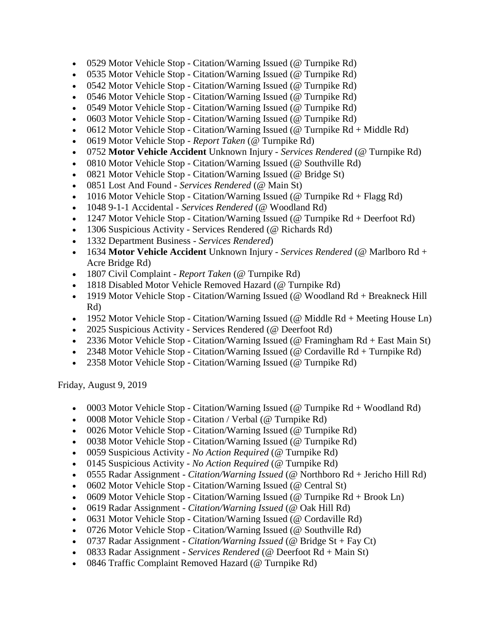- 0529 Motor Vehicle Stop Citation/Warning Issued (@ Turnpike Rd)
- 0535 Motor Vehicle Stop Citation/Warning Issued (@ Turnpike Rd)
- 0542 Motor Vehicle Stop Citation/Warning Issued (@ Turnpike Rd)
- 0546 Motor Vehicle Stop Citation/Warning Issued (@ Turnpike Rd)
- 0549 Motor Vehicle Stop Citation/Warning Issued (@ Turnpike Rd)
- 0603 Motor Vehicle Stop Citation/Warning Issued (@ Turnpike Rd)
- 0612 Motor Vehicle Stop Citation/Warning Issued (@ Turnpike  $Rd + Middle Rd$ )
- 0619 Motor Vehicle Stop *Report Taken* (@ Turnpike Rd)
- 0752 **Motor Vehicle Accident** Unknown Injury *Services Rendered* (@ Turnpike Rd)
- 0810 Motor Vehicle Stop Citation/Warning Issued (@ Southville Rd)
- 0821 Motor Vehicle Stop Citation/Warning Issued (@ Bridge St)
- 0851 Lost And Found *Services Rendered* (@ Main St)
- 1016 Motor Vehicle Stop Citation/Warning Issued (@ Turnpike  $Rd + Flagg Rd$ )
- 1048 9-1-1 Accidental *Services Rendered* (@ Woodland Rd)
- 1247 Motor Vehicle Stop Citation/Warning Issued (@ Turnpike Rd + Deerfoot Rd)
- 1306 Suspicious Activity Services Rendered (@ Richards Rd)
- 1332 Department Business *Services Rendered*)
- 1634 **Motor Vehicle Accident** Unknown Injury *Services Rendered* (@ Marlboro Rd + Acre Bridge Rd)
- 1807 Civil Complaint *Report Taken* (@ Turnpike Rd)
- 1818 Disabled Motor Vehicle Removed Hazard (@ Turnpike Rd)
- 1919 Motor Vehicle Stop Citation/Warning Issued (@ Woodland Rd + Breakneck Hill Rd)
- 1952 Motor Vehicle Stop Citation/Warning Issued (@ Middle Rd + Meeting House Ln)
- 2025 Suspicious Activity Services Rendered (@ Deerfoot Rd)
- 2336 Motor Vehicle Stop Citation/Warning Issued (@ Framingham Rd + East Main St)
- 2348 Motor Vehicle Stop Citation/Warning Issued (@ Cordaville Rd + Turnpike Rd)
- 2358 Motor Vehicle Stop Citation/Warning Issued (@ Turnpike Rd)

Friday, August 9, 2019

- 0003 Motor Vehicle Stop Citation/Warning Issued ( $\omega$  Turnpike Rd + Woodland Rd)
- 0008 Motor Vehicle Stop Citation / Verbal (@ Turnpike Rd)
- 0026 Motor Vehicle Stop Citation/Warning Issued (@ Turnpike Rd)
- 0038 Motor Vehicle Stop Citation/Warning Issued (@ Turnpike Rd)
- 0059 Suspicious Activity *No Action Required* (@ Turnpike Rd)
- 0145 Suspicious Activity *No Action Required* (@ Turnpike Rd)
- 0555 Radar Assignment *Citation/Warning Issued* (@ Northboro Rd + Jericho Hill Rd)
- 0602 Motor Vehicle Stop Citation/Warning Issued (@ Central St)
- 0609 Motor Vehicle Stop Citation/Warning Issued (@ Turnpike  $Rd + Brook$  Ln)
- 0619 Radar Assignment *Citation/Warning Issued* (@ Oak Hill Rd)
- 0631 Motor Vehicle Stop Citation/Warning Issued (@ Cordaville Rd)
- 0726 Motor Vehicle Stop Citation/Warning Issued (@ Southville Rd)
- 0737 Radar Assignment *Citation/Warning Issued* (@ Bridge St + Fay Ct)
- 0833 Radar Assignment *Services Rendered* (@ Deerfoot Rd + Main St)
- 0846 Traffic Complaint Removed Hazard (@ Turnpike Rd)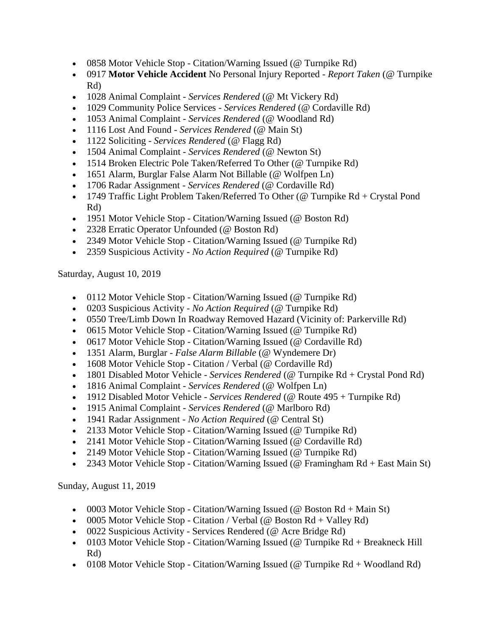- 0858 Motor Vehicle Stop Citation/Warning Issued (@ Turnpike Rd)
- 0917 **Motor Vehicle Accident** No Personal Injury Reported *Report Taken* (@ Turnpike Rd)
- 1028 Animal Complaint *Services Rendered* (@ Mt Vickery Rd)
- 1029 Community Police Services *Services Rendered* (@ Cordaville Rd)
- 1053 Animal Complaint *Services Rendered* (@ Woodland Rd)
- 1116 Lost And Found *Services Rendered* (@ Main St)
- 1122 Soliciting *Services Rendered* (@ Flagg Rd)
- 1504 Animal Complaint *Services Rendered* (@ Newton St)
- 1514 Broken Electric Pole Taken/Referred To Other (@ Turnpike Rd)
- 1651 Alarm, Burglar False Alarm Not Billable (@ Wolfpen Ln)
- 1706 Radar Assignment *Services Rendered* (@ Cordaville Rd)
- 1749 Traffic Light Problem Taken/Referred To Other (@ Turnpike  $Rd + Crystal$  Pond Rd)
- 1951 Motor Vehicle Stop Citation/Warning Issued (@ Boston Rd)
- 2328 Erratic Operator Unfounded (@ Boston Rd)
- 2349 Motor Vehicle Stop Citation/Warning Issued (@ Turnpike Rd)
- 2359 Suspicious Activity *No Action Required* (@ Turnpike Rd)

Saturday, August 10, 2019

- 0112 Motor Vehicle Stop Citation/Warning Issued (@ Turnpike Rd)
- 0203 Suspicious Activity *No Action Required* (@ Turnpike Rd)
- 0550 Tree/Limb Down In Roadway Removed Hazard (Vicinity of: Parkerville Rd)
- 0615 Motor Vehicle Stop Citation/Warning Issued (@ Turnpike Rd)
- 0617 Motor Vehicle Stop Citation/Warning Issued (@ Cordaville Rd)
- 1351 Alarm, Burglar *False Alarm Billable* (@ Wyndemere Dr)
- 1608 Motor Vehicle Stop Citation / Verbal (@ Cordaville Rd)
- 1801 Disabled Motor Vehicle *Services Rendered* (@ Turnpike Rd + Crystal Pond Rd)
- 1816 Animal Complaint *Services Rendered* (@ Wolfpen Ln)
- 1912 Disabled Motor Vehicle *Services Rendered* (@ Route 495 + Turnpike Rd)
- 1915 Animal Complaint *Services Rendered* (@ Marlboro Rd)
- 1941 Radar Assignment *No Action Required* (@ Central St)
- 2133 Motor Vehicle Stop Citation/Warning Issued (@ Turnpike Rd)
- 2141 Motor Vehicle Stop Citation/Warning Issued (@ Cordaville Rd)
- 2149 Motor Vehicle Stop Citation/Warning Issued (@ Turnpike Rd)
- 2343 Motor Vehicle Stop Citation/Warning Issued (@ Framingham Rd + East Main St)

Sunday, August 11, 2019

- 0003 Motor Vehicle Stop Citation/Warning Issued ( $\omega$  Boston Rd + Main St)
- 0005 Motor Vehicle Stop Citation / Verbal ( $@$  Boston Rd + Valley Rd)
- 0022 Suspicious Activity Services Rendered (@ Acre Bridge Rd)
- 0103 Motor Vehicle Stop Citation/Warning Issued (@ Turnpike Rd + Breakneck Hill Rd)
- 0108 Motor Vehicle Stop Citation/Warning Issued ( $@$  Turnpike Rd + Woodland Rd)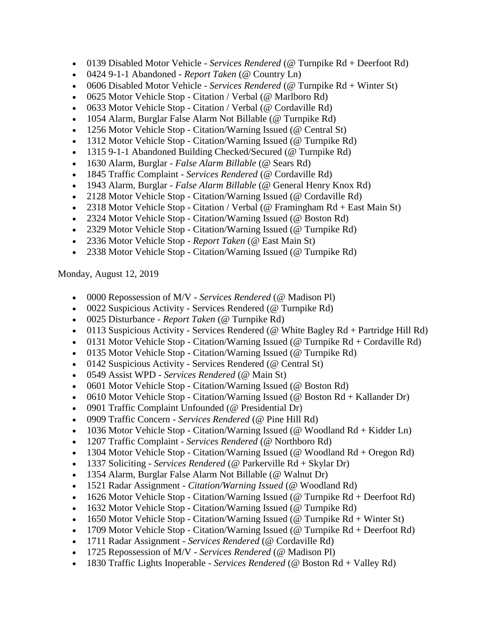- 0139 Disabled Motor Vehicle *Services Rendered* (@ Turnpike Rd + Deerfoot Rd)
- 0424 9-1-1 Abandoned *Report Taken* (@ Country Ln)
- 0606 Disabled Motor Vehicle *Services Rendered* (@ Turnpike Rd + Winter St)
- 0625 Motor Vehicle Stop Citation / Verbal (@ Marlboro Rd)
- 0633 Motor Vehicle Stop Citation / Verbal (@ Cordaville Rd)
- 1054 Alarm, Burglar False Alarm Not Billable (@ Turnpike Rd)
- 1256 Motor Vehicle Stop Citation/Warning Issued (@ Central St)
- 1312 Motor Vehicle Stop Citation/Warning Issued (@ Turnpike Rd)
- 1315 9-1-1 Abandoned Building Checked/Secured (@ Turnpike Rd)
- 1630 Alarm, Burglar *False Alarm Billable* (@ Sears Rd)
- 1845 Traffic Complaint *Services Rendered* (@ Cordaville Rd)
- 1943 Alarm, Burglar *False Alarm Billable* (@ General Henry Knox Rd)
- 2128 Motor Vehicle Stop Citation/Warning Issued (@ Cordaville Rd)
- 2318 Motor Vehicle Stop Citation / Verbal (@ Framingham  $Rd + East Main St$ )
- 2324 Motor Vehicle Stop Citation/Warning Issued (@ Boston Rd)
- 2329 Motor Vehicle Stop Citation/Warning Issued (@ Turnpike Rd)
- 2336 Motor Vehicle Stop *Report Taken* (@ East Main St)
- 2338 Motor Vehicle Stop Citation/Warning Issued (@ Turnpike Rd)

Monday, August 12, 2019

- 0000 Repossession of M/V *Services Rendered* (@ Madison Pl)
- 0022 Suspicious Activity Services Rendered (@ Turnpike Rd)
- 0025 Disturbance *Report Taken* (@ Turnpike Rd)
- $\bullet$  0113 Suspicious Activity Services Rendered (@ White Bagley Rd + Partridge Hill Rd)
- 0131 Motor Vehicle Stop Citation/Warning Issued ( $@$  Turnpike Rd + Cordaville Rd)
- 0135 Motor Vehicle Stop Citation/Warning Issued (@ Turnpike Rd)
- 0142 Suspicious Activity Services Rendered (@ Central St)
- 0549 Assist WPD *Services Rendered* (@ Main St)
- 0601 Motor Vehicle Stop Citation/Warning Issued (@ Boston Rd)
- 0610 Motor Vehicle Stop Citation/Warning Issued (@ Boston  $Rd + Kallander Dr$ )
- 0901 Traffic Complaint Unfounded (@ Presidential Dr)
- 0909 Traffic Concern *Services Rendered* (@ Pine Hill Rd)
- 1036 Motor Vehicle Stop Citation/Warning Issued ( $@$  Woodland Rd + Kidder Ln)
- 1207 Traffic Complaint *Services Rendered* (@ Northboro Rd)
- 1304 Motor Vehicle Stop Citation/Warning Issued ( $@$  Woodland Rd + Oregon Rd)
- 1337 Soliciting *Services Rendered* (@ Parkerville Rd + Skylar Dr)
- 1354 Alarm, Burglar False Alarm Not Billable (@ Walnut Dr)
- 1521 Radar Assignment *Citation/Warning Issued* (@ Woodland Rd)
- 1626 Motor Vehicle Stop Citation/Warning Issued (@ Turnpike Rd + Deerfoot Rd)
- 1632 Motor Vehicle Stop Citation/Warning Issued (@ Turnpike Rd)
- 1650 Motor Vehicle Stop Citation/Warning Issued ( $@$  Turnpike Rd + Winter St)
- 1709 Motor Vehicle Stop Citation/Warning Issued (@ Turnpike  $Rd +$  Deerfoot  $Rd$ )
- 1711 Radar Assignment *Services Rendered* (@ Cordaville Rd)
- 1725 Repossession of M/V *Services Rendered* (@ Madison Pl)
- 1830 Traffic Lights Inoperable *Services Rendered* (@ Boston Rd + Valley Rd)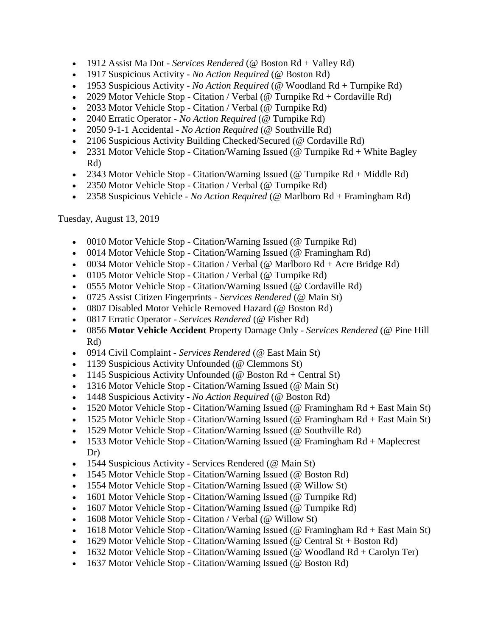- 1912 Assist Ma Dot *Services Rendered* (@ Boston Rd + Valley Rd)
- 1917 Suspicious Activity *No Action Required* (@ Boston Rd)
- 1953 Suspicious Activity *No Action Required* (@ Woodland Rd + Turnpike Rd)
- 2029 Motor Vehicle Stop Citation / Verbal ( $\omega$  Turnpike Rd + Cordaville Rd)
- 2033 Motor Vehicle Stop Citation / Verbal (@ Turnpike Rd)
- 2040 Erratic Operator *No Action Required* (@ Turnpike Rd)
- 2050 9-1-1 Accidental *No Action Required* (@ Southville Rd)
- 2106 Suspicious Activity Building Checked/Secured (@ Cordaville Rd)
- 2331 Motor Vehicle Stop Citation/Warning Issued (@ Turnpike  $Rd +$  White Bagley Rd)
- 2343 Motor Vehicle Stop Citation/Warning Issued (@ Turnpike  $Rd + Middle Rd$ )
- 2350 Motor Vehicle Stop Citation / Verbal (@ Turnpike Rd)
- 2358 Suspicious Vehicle *No Action Required* (@ Marlboro Rd + Framingham Rd)

Tuesday, August 13, 2019

- 0010 Motor Vehicle Stop Citation/Warning Issued (@ Turnpike Rd)
- 0014 Motor Vehicle Stop Citation/Warning Issued (@ Framingham Rd)
- 0034 Motor Vehicle Stop Citation / Verbal (@ Marlboro Rd + Acre Bridge Rd)
- 0105 Motor Vehicle Stop Citation / Verbal (@ Turnpike Rd)
- 0555 Motor Vehicle Stop Citation/Warning Issued (@ Cordaville Rd)
- 0725 Assist Citizen Fingerprints *Services Rendered* (@ Main St)
- 0807 Disabled Motor Vehicle Removed Hazard (@ Boston Rd)
- 0817 Erratic Operator *Services Rendered* (@ Fisher Rd)
- 0856 **Motor Vehicle Accident** Property Damage Only *Services Rendered* (@ Pine Hill Rd)
- 0914 Civil Complaint *Services Rendered* (@ East Main St)
- 1139 Suspicious Activity Unfounded (@ Clemmons St)
- 1145 Suspicious Activity Unfounded ( $@$  Boston Rd + Central St)
- 1316 Motor Vehicle Stop Citation/Warning Issued (@ Main St)
- 1448 Suspicious Activity *No Action Required* (@ Boston Rd)
- 1520 Motor Vehicle Stop Citation/Warning Issued (@ Framingham Rd + East Main St)
- 1525 Motor Vehicle Stop Citation/Warning Issued (@ Framingham Rd + East Main St)
- 1529 Motor Vehicle Stop Citation/Warning Issued (@ Southville Rd)
- 1533 Motor Vehicle Stop Citation/Warning Issued (@ Framingham Rd + Maplecrest Dr)
- 1544 Suspicious Activity Services Rendered (@ Main St)
- 1545 Motor Vehicle Stop Citation/Warning Issued (@ Boston Rd)
- 1554 Motor Vehicle Stop Citation/Warning Issued (@ Willow St)
- 1601 Motor Vehicle Stop Citation/Warning Issued (@ Turnpike Rd)
- 1607 Motor Vehicle Stop Citation/Warning Issued (@ Turnpike Rd)
- 1608 Motor Vehicle Stop Citation / Verbal (@ Willow St)
- 1618 Motor Vehicle Stop Citation/Warning Issued ( $@$  Framingham Rd + East Main St)
- 1629 Motor Vehicle Stop Citation/Warning Issued (@ Central  $St + Boston Rd$ )
- 1632 Motor Vehicle Stop Citation/Warning Issued (@ Woodland  $Rd + Carolyn Ter$ )
- 1637 Motor Vehicle Stop Citation/Warning Issued (@ Boston Rd)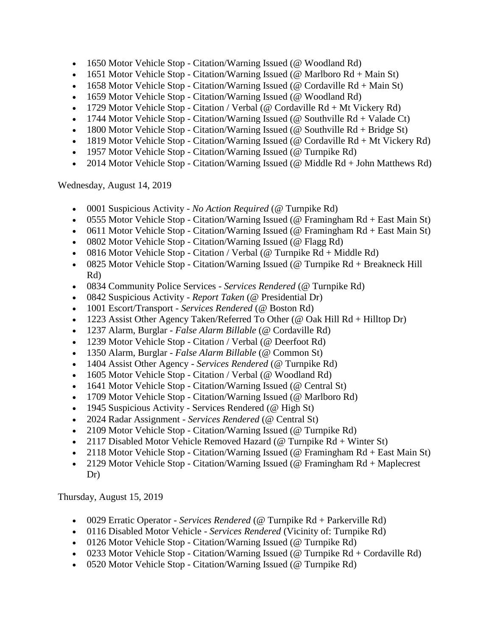- 1650 Motor Vehicle Stop Citation/Warning Issued (@ Woodland Rd)
- 1651 Motor Vehicle Stop Citation/Warning Issued (@ Marlboro  $Rd + Main St$ )
- 1658 Motor Vehicle Stop Citation/Warning Issued (@ Cordaville  $Rd + Main St$ )
- 1659 Motor Vehicle Stop Citation/Warning Issued (@ Woodland Rd)
- 1729 Motor Vehicle Stop Citation / Verbal (@ Cordaville  $Rd + Mt$  Vickery  $Rd$ )
- 1744 Motor Vehicle Stop Citation/Warning Issued (@ Southville  $Rd + Valade Ct$ )
- 1800 Motor Vehicle Stop Citation/Warning Issued (@ Southville  $Rd + Bridge St$ )
- 1819 Motor Vehicle Stop Citation/Warning Issued (@ Cordaville  $Rd + Mt$  Vickery  $Rd$ )
- 1957 Motor Vehicle Stop Citation/Warning Issued (@ Turnpike Rd)
- 2014 Motor Vehicle Stop Citation/Warning Issued (@ Middle Rd + John Matthews Rd)

Wednesday, August 14, 2019

- 0001 Suspicious Activity *No Action Required* (@ Turnpike Rd)
- 0555 Motor Vehicle Stop Citation/Warning Issued (@ Framingham Rd + East Main St)
- 0611 Motor Vehicle Stop Citation/Warning Issued ( $@$  Framingham Rd + East Main St)
- 0802 Motor Vehicle Stop Citation/Warning Issued (@ Flagg Rd)
- 0816 Motor Vehicle Stop Citation / Verbal (@ Turnpike  $Rd + Middle Rd$ )
- 0825 Motor Vehicle Stop Citation/Warning Issued (@ Turnpike Rd + Breakneck Hill Rd)
- 0834 Community Police Services *Services Rendered* (@ Turnpike Rd)
- 0842 Suspicious Activity *Report Taken* (@ Presidential Dr)
- 1001 Escort/Transport *Services Rendered* (@ Boston Rd)
- 1223 Assist Other Agency Taken/Referred To Other (@ Oak Hill Rd + Hilltop Dr)
- 1237 Alarm, Burglar *False Alarm Billable* (@ Cordaville Rd)
- 1239 Motor Vehicle Stop Citation / Verbal (@ Deerfoot Rd)
- 1350 Alarm, Burglar *False Alarm Billable* (@ Common St)
- 1404 Assist Other Agency *Services Rendered* (@ Turnpike Rd)
- 1605 Motor Vehicle Stop Citation / Verbal (@ Woodland Rd)
- 1641 Motor Vehicle Stop Citation/Warning Issued (@ Central St)
- 1709 Motor Vehicle Stop Citation/Warning Issued (@ Marlboro Rd)
- 1945 Suspicious Activity Services Rendered (@ High St)
- 2024 Radar Assignment *Services Rendered* (@ Central St)
- 2109 Motor Vehicle Stop Citation/Warning Issued (@ Turnpike Rd)
- 2117 Disabled Motor Vehicle Removed Hazard ( $\omega$  Turnpike Rd + Winter St)
- 2118 Motor Vehicle Stop Citation/Warning Issued (@ Framingham Rd + East Main St)
- 2129 Motor Vehicle Stop Citation/Warning Issued (@ Framingham Rd + Maplecrest Dr)

Thursday, August 15, 2019

- 0029 Erratic Operator *Services Rendered* (@ Turnpike Rd + Parkerville Rd)
- 0116 Disabled Motor Vehicle *Services Rendered* (Vicinity of: Turnpike Rd)
- 0126 Motor Vehicle Stop Citation/Warning Issued (@ Turnpike Rd)
- 0233 Motor Vehicle Stop Citation/Warning Issued (@ Turnpike  $Rd$  + Cordaville Rd)
- 0520 Motor Vehicle Stop Citation/Warning Issued (@ Turnpike Rd)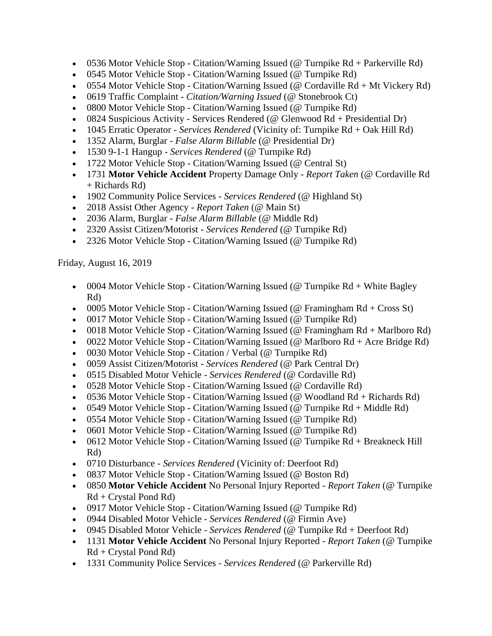- 0536 Motor Vehicle Stop Citation/Warning Issued (@ Turnpike Rd + Parkerville Rd)
- 0545 Motor Vehicle Stop Citation/Warning Issued (@ Turnpike Rd)
- 0554 Motor Vehicle Stop Citation/Warning Issued (@ Cordaville  $Rd + Mt$  Vickery  $Rd$ )
- 0619 Traffic Complaint *Citation/Warning Issued* (@ Stonebrook Ct)
- 0800 Motor Vehicle Stop Citation/Warning Issued (@ Turnpike Rd)
- 0824 Suspicious Activity Services Rendered ( $\omega$  Glenwood Rd + Presidential Dr)
- 1045 Erratic Operator *Services Rendered* (Vicinity of: Turnpike Rd + Oak Hill Rd)
- 1352 Alarm, Burglar *False Alarm Billable* (@ Presidential Dr)
- 1530 9-1-1 Hangup *Services Rendered* (@ Turnpike Rd)
- 1722 Motor Vehicle Stop Citation/Warning Issued (@ Central St)
- 1731 **Motor Vehicle Accident** Property Damage Only *Report Taken* (@ Cordaville Rd + Richards Rd)
- 1902 Community Police Services *Services Rendered* (@ Highland St)
- 2018 Assist Other Agency *Report Taken* (@ Main St)
- 2036 Alarm, Burglar *False Alarm Billable* (@ Middle Rd)
- 2320 Assist Citizen/Motorist *Services Rendered* (@ Turnpike Rd)
- 2326 Motor Vehicle Stop Citation/Warning Issued (@ Turnpike Rd)

Friday, August 16, 2019

- 0004 Motor Vehicle Stop Citation/Warning Issued (@ Turnpike  $Rd + White$  Bagley Rd)
- 0005 Motor Vehicle Stop Citation/Warning Issued ( $@$  Framingham Rd + Cross St)
- 0017 Motor Vehicle Stop Citation/Warning Issued (@ Turnpike Rd)
- 0018 Motor Vehicle Stop Citation/Warning Issued (@ Framingham Rd + Marlboro Rd)
- 0022 Motor Vehicle Stop Citation/Warning Issued ( $@$  Marlboro Rd + Acre Bridge Rd)
- 0030 Motor Vehicle Stop Citation / Verbal (@ Turnpike Rd)
- 0059 Assist Citizen/Motorist *Services Rendered* (@ Park Central Dr)
- 0515 Disabled Motor Vehicle *Services Rendered* (@ Cordaville Rd)
- 0528 Motor Vehicle Stop Citation/Warning Issued (@ Cordaville Rd)
- 0536 Motor Vehicle Stop Citation/Warning Issued ( $@$  Woodland Rd + Richards Rd)
- 0549 Motor Vehicle Stop Citation/Warning Issued (@ Turnpike  $Rd + Middle Rd$ )
- 0554 Motor Vehicle Stop Citation/Warning Issued (@ Turnpike Rd)
- 0601 Motor Vehicle Stop Citation/Warning Issued (@ Turnpike Rd)
- 0612 Motor Vehicle Stop Citation/Warning Issued (@ Turnpike Rd + Breakneck Hill Rd)
- 0710 Disturbance *Services Rendered* (Vicinity of: Deerfoot Rd)
- 0837 Motor Vehicle Stop Citation/Warning Issued (@ Boston Rd)
- 0850 **Motor Vehicle Accident** No Personal Injury Reported *Report Taken* (@ Turnpike  $Rd + C$ rystal Pond  $Rd$ )
- 0917 Motor Vehicle Stop Citation/Warning Issued (@ Turnpike Rd)
- 0944 Disabled Motor Vehicle *Services Rendered* (@ Firmin Ave)
- 0945 Disabled Motor Vehicle *Services Rendered* (@ Turnpike Rd + Deerfoot Rd)
- 1131 **Motor Vehicle Accident** No Personal Injury Reported *Report Taken* (@ Turnpike Rd + Crystal Pond Rd)
- 1331 Community Police Services *Services Rendered* (@ Parkerville Rd)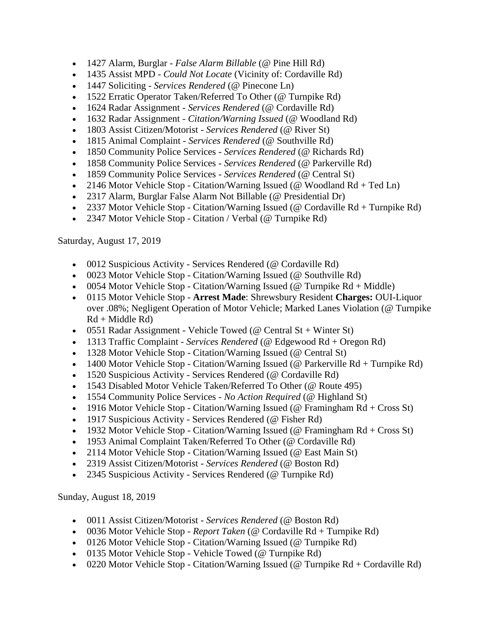- 1427 Alarm, Burglar *False Alarm Billable* (@ Pine Hill Rd)
- 1435 Assist MPD *Could Not Locate* (Vicinity of: Cordaville Rd)
- 1447 Soliciting *Services Rendered* (@ Pinecone Ln)
- 1522 Erratic Operator Taken/Referred To Other (@ Turnpike Rd)
- 1624 Radar Assignment *Services Rendered* (@ Cordaville Rd)
- 1632 Radar Assignment *Citation/Warning Issued* (@ Woodland Rd)
- 1803 Assist Citizen/Motorist *Services Rendered* (@ River St)
- 1815 Animal Complaint *Services Rendered* (@ Southville Rd)
- 1850 Community Police Services *Services Rendered* (@ Richards Rd)
- 1858 Community Police Services *Services Rendered* (@ Parkerville Rd)
- 1859 Community Police Services *Services Rendered* (@ Central St)
- 2146 Motor Vehicle Stop Citation/Warning Issued (@ Woodland  $Rd + Ted \, Ln$ )
- 2317 Alarm, Burglar False Alarm Not Billable (@ Presidential Dr)
- 2337 Motor Vehicle Stop Citation/Warning Issued (@ Cordaville Rd + Turnpike Rd)
- 2347 Motor Vehicle Stop Citation / Verbal (@ Turnpike Rd)

Saturday, August 17, 2019

- 0012 Suspicious Activity Services Rendered (@ Cordaville Rd)
- 0023 Motor Vehicle Stop Citation/Warning Issued (@ Southville Rd)
- 0054 Motor Vehicle Stop Citation/Warning Issued ( $@$  Turnpike Rd + Middle)
- 0115 Motor Vehicle Stop **Arrest Made**: Shrewsbury Resident **Charges:** OUI-Liquor over .08%; Negligent Operation of Motor Vehicle; Marked Lanes Violation (@ Turnpike  $Rd + Middle Rd)$
- 0551 Radar Assignment Vehicle Towed (@ Central  $St + Winter St$ )
- 1313 Traffic Complaint *Services Rendered* (@ Edgewood Rd + Oregon Rd)
- 1328 Motor Vehicle Stop Citation/Warning Issued (@ Central St)
- 1400 Motor Vehicle Stop Citation/Warning Issued (@ Parkerville Rd + Turnpike Rd)
- 1520 Suspicious Activity Services Rendered (@ Cordaville Rd)
- 1543 Disabled Motor Vehicle Taken/Referred To Other (@ Route 495)
- 1554 Community Police Services *No Action Required* (@ Highland St)
- 1916 Motor Vehicle Stop Citation/Warning Issued (@ Framingham  $Rd + Cross St$ )
- 1917 Suspicious Activity Services Rendered (@ Fisher Rd)
- 1932 Motor Vehicle Stop Citation/Warning Issued ( $\omega$  Framingham Rd + Cross St)
- 1953 Animal Complaint Taken/Referred To Other (@ Cordaville Rd)
- 2114 Motor Vehicle Stop Citation/Warning Issued (@ East Main St)
- 2319 Assist Citizen/Motorist *Services Rendered* (@ Boston Rd)
- 2345 Suspicious Activity Services Rendered (@ Turnpike Rd)

Sunday, August 18, 2019

- 0011 Assist Citizen/Motorist *Services Rendered* (@ Boston Rd)
- 0036 Motor Vehicle Stop *Report Taken* (@ Cordaville Rd + Turnpike Rd)
- 0126 Motor Vehicle Stop Citation/Warning Issued (@ Turnpike Rd)
- 0135 Motor Vehicle Stop Vehicle Towed (@ Turnpike Rd)
- 0220 Motor Vehicle Stop Citation/Warning Issued (@ Turnpike  $Rd + Cordaville Rd$ )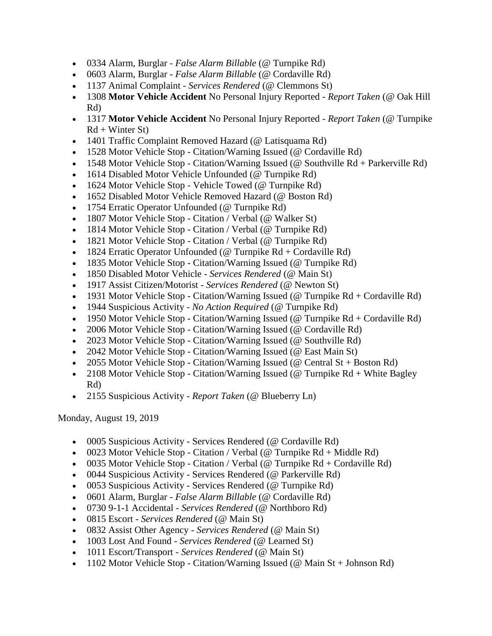- 0334 Alarm, Burglar *False Alarm Billable* (@ Turnpike Rd)
- 0603 Alarm, Burglar *False Alarm Billable* (@ Cordaville Rd)
- 1137 Animal Complaint *Services Rendered* (@ Clemmons St)
- 1308 **Motor Vehicle Accident** No Personal Injury Reported *Report Taken* (@ Oak Hill Rd)
- 1317 **Motor Vehicle Accident** No Personal Injury Reported *Report Taken* (@ Turnpike  $Rd + Winter St$
- 1401 Traffic Complaint Removed Hazard (@ Latisquama Rd)
- 1528 Motor Vehicle Stop Citation/Warning Issued (@ Cordaville Rd)
- 1548 Motor Vehicle Stop Citation/Warning Issued (@ Southville Rd + Parkerville Rd)
- 1614 Disabled Motor Vehicle Unfounded (@ Turnpike Rd)
- 1624 Motor Vehicle Stop Vehicle Towed (@ Turnpike Rd)
- 1652 Disabled Motor Vehicle Removed Hazard (@ Boston Rd)
- 1754 Erratic Operator Unfounded (@ Turnpike Rd)
- 1807 Motor Vehicle Stop Citation / Verbal (@ Walker St)
- 1814 Motor Vehicle Stop Citation / Verbal (@ Turnpike Rd)
- 1821 Motor Vehicle Stop Citation / Verbal (@ Turnpike Rd)
- 1824 Erratic Operator Unfounded (@ Turnpike  $Rd + Cordaville Rd$ )
- 1835 Motor Vehicle Stop Citation/Warning Issued (@ Turnpike Rd)
- 1850 Disabled Motor Vehicle *Services Rendered* (@ Main St)
- 1917 Assist Citizen/Motorist *Services Rendered* (@ Newton St)
- 1931 Motor Vehicle Stop Citation/Warning Issued (@ Turnpike Rd + Cordaville Rd)
- 1944 Suspicious Activity *No Action Required* (@ Turnpike Rd)
- 1950 Motor Vehicle Stop Citation/Warning Issued (@ Turnpike  $Rd + Cordaville Rd$ )
- 2006 Motor Vehicle Stop Citation/Warning Issued (@ Cordaville Rd)
- 2023 Motor Vehicle Stop Citation/Warning Issued (@ Southville Rd)
- 2042 Motor Vehicle Stop Citation/Warning Issued (@ East Main St)
- 2055 Motor Vehicle Stop Citation/Warning Issued (@ Central St + Boston Rd)
- 2108 Motor Vehicle Stop Citation/Warning Issued (@ Turnpike  $Rd +$  White Bagley Rd)
- 2155 Suspicious Activity *Report Taken* (@ Blueberry Ln)

Monday, August 19, 2019

- 0005 Suspicious Activity Services Rendered (@ Cordaville Rd)
- 0023 Motor Vehicle Stop Citation / Verbal (@ Turnpike  $Rd + Middle Rd$ )
- 0035 Motor Vehicle Stop Citation / Verbal (@ Turnpike  $Rd$  + Cordaville  $Rd$ )
- 0044 Suspicious Activity Services Rendered (@ Parkerville Rd)
- 0053 Suspicious Activity Services Rendered (@ Turnpike Rd)
- 0601 Alarm, Burglar *False Alarm Billable* (@ Cordaville Rd)
- 0730 9-1-1 Accidental *Services Rendered* (@ Northboro Rd)
- 0815 Escort *Services Rendered* (@ Main St)
- 0832 Assist Other Agency *Services Rendered* (@ Main St)
- 1003 Lost And Found *Services Rendered* (@ Learned St)
- 1011 Escort/Transport *Services Rendered* (@ Main St)
- 1102 Motor Vehicle Stop Citation/Warning Issued ( $@$  Main St + Johnson Rd)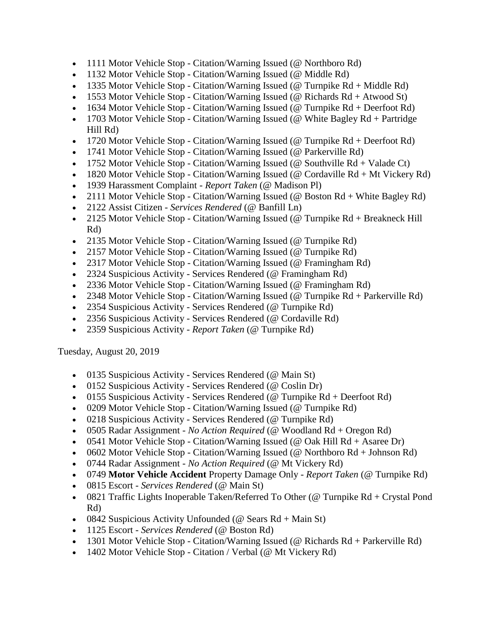- 1111 Motor Vehicle Stop Citation/Warning Issued (@ Northboro Rd)
- 1132 Motor Vehicle Stop Citation/Warning Issued (@ Middle Rd)
- 1335 Motor Vehicle Stop Citation/Warning Issued (@ Turnpike  $Rd + Middle Rd$ )
- 1553 Motor Vehicle Stop Citation/Warning Issued (@ Richards Rd + Atwood St)
- 1634 Motor Vehicle Stop Citation/Warning Issued (@ Turnpike  $Rd +$  Deerfoot  $Rd$ )
- 1703 Motor Vehicle Stop Citation/Warning Issued (@ White Bagley  $Rd +$  Partridge Hill Rd)
- 1720 Motor Vehicle Stop Citation/Warning Issued (@ Turnpike  $Rd +$  Deerfoot  $Rd$ )
- 1741 Motor Vehicle Stop Citation/Warning Issued (@ Parkerville Rd)
- 1752 Motor Vehicle Stop Citation/Warning Issued (@ Southville  $Rd + Valade Ct$ )
- 1820 Motor Vehicle Stop Citation/Warning Issued (@ Cordaville  $Rd + Mt$  Vickery  $Rd$ )
- 1939 Harassment Complaint *Report Taken* (@ Madison Pl)
- 2111 Motor Vehicle Stop Citation/Warning Issued (@ Boston Rd + White Bagley Rd)
- 2122 Assist Citizen *Services Rendered* (@ Banfill Ln)
- 2125 Motor Vehicle Stop Citation/Warning Issued (@ Turnpike Rd + Breakneck Hill Rd)
- 2135 Motor Vehicle Stop Citation/Warning Issued (@ Turnpike Rd)
- 2157 Motor Vehicle Stop Citation/Warning Issued (@ Turnpike Rd)
- 2317 Motor Vehicle Stop Citation/Warning Issued (@ Framingham Rd)
- 2324 Suspicious Activity Services Rendered (@ Framingham Rd)
- 2336 Motor Vehicle Stop Citation/Warning Issued (@ Framingham Rd)
- 2348 Motor Vehicle Stop Citation/Warning Issued (@ Turnpike Rd + Parkerville Rd)
- 2354 Suspicious Activity Services Rendered (@ Turnpike Rd)
- 2356 Suspicious Activity Services Rendered (@ Cordaville Rd)
- 2359 Suspicious Activity *Report Taken* (@ Turnpike Rd)

Tuesday, August 20, 2019

- 0135 Suspicious Activity Services Rendered (@ Main St)
- 0152 Suspicious Activity Services Rendered (@ Coslin Dr)
- $\bullet$  0155 Suspicious Activity Services Rendered (@ Turnpike Rd + Deerfoot Rd)
- 0209 Motor Vehicle Stop Citation/Warning Issued (@ Turnpike Rd)
- 0218 Suspicious Activity Services Rendered (@ Turnpike Rd)
- 0505 Radar Assignment *No Action Required* (@ Woodland Rd + Oregon Rd)
- 0541 Motor Vehicle Stop Citation/Warning Issued ( $@$  Oak Hill Rd + Asaree Dr)
- 0602 Motor Vehicle Stop Citation/Warning Issued (@ Northboro  $Rd + Johnson Rd$ )
- 0744 Radar Assignment *No Action Required* (@ Mt Vickery Rd)
- 0749 **Motor Vehicle Accident** Property Damage Only *Report Taken* (@ Turnpike Rd)
- 0815 Escort *Services Rendered* (@ Main St)
- 0821 Traffic Lights Inoperable Taken/Referred To Other (@ Turnpike Rd + Crystal Pond Rd)
- 0842 Suspicious Activity Unfounded ( $\omega$  Sears Rd + Main St)
- 1125 Escort *Services Rendered* (@ Boston Rd)
- 1301 Motor Vehicle Stop Citation/Warning Issued (@ Richards Rd + Parkerville Rd)
- 1402 Motor Vehicle Stop Citation / Verbal (@ Mt Vickery Rd)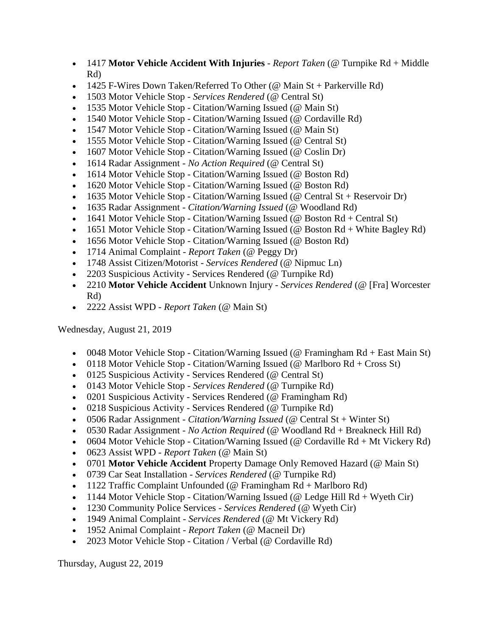- 1417 **Motor Vehicle Accident With Injuries** *Report Taken* (@ Turnpike Rd + Middle Rd)
- $\bullet$  1425 F-Wires Down Taken/Referred To Other (@ Main St + Parkerville Rd)
- 1503 Motor Vehicle Stop *Services Rendered* (@ Central St)
- 1535 Motor Vehicle Stop Citation/Warning Issued (@ Main St)
- 1540 Motor Vehicle Stop Citation/Warning Issued (@ Cordaville Rd)
- 1547 Motor Vehicle Stop Citation/Warning Issued (@ Main St)
- 1555 Motor Vehicle Stop Citation/Warning Issued (@ Central St)
- 1607 Motor Vehicle Stop Citation/Warning Issued (@ Coslin Dr)
- 1614 Radar Assignment *No Action Required* (@ Central St)
- 1614 Motor Vehicle Stop Citation/Warning Issued (@ Boston Rd)
- 1620 Motor Vehicle Stop Citation/Warning Issued (@ Boston Rd)
- 1635 Motor Vehicle Stop Citation/Warning Issued (@ Central St + Reservoir Dr)
- 1635 Radar Assignment *Citation/Warning Issued* (@ Woodland Rd)
- 1641 Motor Vehicle Stop Citation/Warning Issued ( $@$  Boston Rd + Central St)
- 1651 Motor Vehicle Stop Citation/Warning Issued ( $@$  Boston Rd + White Bagley Rd)
- 1656 Motor Vehicle Stop Citation/Warning Issued (@ Boston Rd)
- 1714 Animal Complaint *Report Taken* (@ Peggy Dr)
- 1748 Assist Citizen/Motorist *Services Rendered* (@ Nipmuc Ln)
- 2203 Suspicious Activity Services Rendered (@ Turnpike Rd)
- 2210 **Motor Vehicle Accident** Unknown Injury *Services Rendered* (@ [Fra] Worcester Rd)
- 2222 Assist WPD *Report Taken* (@ Main St)

Wednesday, August 21, 2019

- 0048 Motor Vehicle Stop Citation/Warning Issued (@ Framingham Rd + East Main St)
- 0118 Motor Vehicle Stop Citation/Warning Issued (@ Marlboro  $Rd + Cross St$ )
- 0125 Suspicious Activity Services Rendered (@ Central St)
- 0143 Motor Vehicle Stop *Services Rendered* (@ Turnpike Rd)
- 0201 Suspicious Activity Services Rendered (@ Framingham Rd)
- 0218 Suspicious Activity Services Rendered (@ Turnpike Rd)
- 0506 Radar Assignment *Citation/Warning Issued* (@ Central St + Winter St)
- 0530 Radar Assignment *No Action Required* (@ Woodland Rd + Breakneck Hill Rd)
- 0604 Motor Vehicle Stop Citation/Warning Issued (@ Cordaville  $Rd + Mt$  Vickery  $Rd$ )
- 0623 Assist WPD *Report Taken* (@ Main St)
- 0701 **Motor Vehicle Accident** Property Damage Only Removed Hazard (@ Main St)
- 0739 Car Seat Installation *Services Rendered* (@ Turnpike Rd)
- 1122 Traffic Complaint Unfounded ( $@$  Framingham  $Rd + Marlboro Rd)$
- 1144 Motor Vehicle Stop Citation/Warning Issued (@ Ledge Hill  $Rd + W$ yeth Cir)
- 1230 Community Police Services *Services Rendered* (@ Wyeth Cir)
- 1949 Animal Complaint *Services Rendered* (@ Mt Vickery Rd)
- 1952 Animal Complaint *Report Taken* (@ Macneil Dr)
- 2023 Motor Vehicle Stop Citation / Verbal (@ Cordaville Rd)

Thursday, August 22, 2019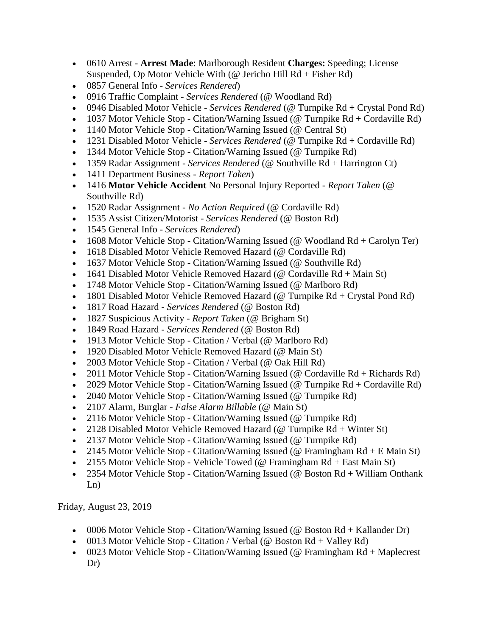- 0610 Arrest **Arrest Made**: Marlborough Resident **Charges:** Speeding; License Suspended, Op Motor Vehicle With (@ Jericho Hill Rd + Fisher Rd)
- 0857 General Info *Services Rendered*)
- 0916 Traffic Complaint *Services Rendered* (@ Woodland Rd)
- 0946 Disabled Motor Vehicle *Services Rendered* (@ Turnpike Rd + Crystal Pond Rd)
- 1037 Motor Vehicle Stop Citation/Warning Issued ( $@$  Turnpike Rd + Cordaville Rd)
- 1140 Motor Vehicle Stop Citation/Warning Issued (@ Central St)
- 1231 Disabled Motor Vehicle *Services Rendered* (@ Turnpike Rd + Cordaville Rd)
- 1344 Motor Vehicle Stop Citation/Warning Issued (@ Turnpike Rd)
- 1359 Radar Assignment *Services Rendered* (@ Southville Rd + Harrington Ct)
- 1411 Department Business *Report Taken*)
- 1416 **Motor Vehicle Accident** No Personal Injury Reported *Report Taken* (@ Southville Rd)
- 1520 Radar Assignment *No Action Required* (@ Cordaville Rd)
- 1535 Assist Citizen/Motorist *Services Rendered* (@ Boston Rd)
- 1545 General Info *Services Rendered*)
- 1608 Motor Vehicle Stop Citation/Warning Issued (@ Woodland  $Rd + Carolyn Ter$ )
- 1618 Disabled Motor Vehicle Removed Hazard (@ Cordaville Rd)
- 1637 Motor Vehicle Stop Citation/Warning Issued (@ Southville Rd)
- 1641 Disabled Motor Vehicle Removed Hazard (@ Cordaville  $Rd + Main St$ )
- 1748 Motor Vehicle Stop Citation/Warning Issued (@ Marlboro Rd)
- 1801 Disabled Motor Vehicle Removed Hazard (@ Turnpike Rd + Crystal Pond Rd)
- 1817 Road Hazard *Services Rendered* (@ Boston Rd)
- 1827 Suspicious Activity *Report Taken* (@ Brigham St)
- 1849 Road Hazard *Services Rendered* (@ Boston Rd)
- 1913 Motor Vehicle Stop Citation / Verbal (@ Marlboro Rd)
- 1920 Disabled Motor Vehicle Removed Hazard (@ Main St)
- 2003 Motor Vehicle Stop Citation / Verbal (@ Oak Hill Rd)
- 2011 Motor Vehicle Stop Citation/Warning Issued (@ Cordaville Rd + Richards Rd)
- 2029 Motor Vehicle Stop Citation/Warning Issued (@ Turnpike  $Rd + Cordaville Rd$ )
- 2040 Motor Vehicle Stop Citation/Warning Issued (@ Turnpike Rd)
- 2107 Alarm, Burglar *False Alarm Billable* (@ Main St)
- 2116 Motor Vehicle Stop Citation/Warning Issued (@ Turnpike Rd)
- 2128 Disabled Motor Vehicle Removed Hazard ( $@$  Turnpike Rd + Winter St)
- 2137 Motor Vehicle Stop Citation/Warning Issued (@ Turnpike Rd)
- 2145 Motor Vehicle Stop Citation/Warning Issued (@ Framingham  $Rd + E$  Main St)
- 2155 Motor Vehicle Stop Vehicle Towed (@ Framingham  $Rd + East Main St$ )
- 2354 Motor Vehicle Stop Citation/Warning Issued (@ Boston Rd + William Onthank Ln)

Friday, August 23, 2019

- 0006 Motor Vehicle Stop Citation/Warning Issued (@ Boston  $Rd + Kallander Dr$ )
- 0013 Motor Vehicle Stop Citation / Verbal ( $@$  Boston Rd + Valley Rd)
- 0023 Motor Vehicle Stop Citation/Warning Issued (@ Framingham Rd + Maplecrest Dr)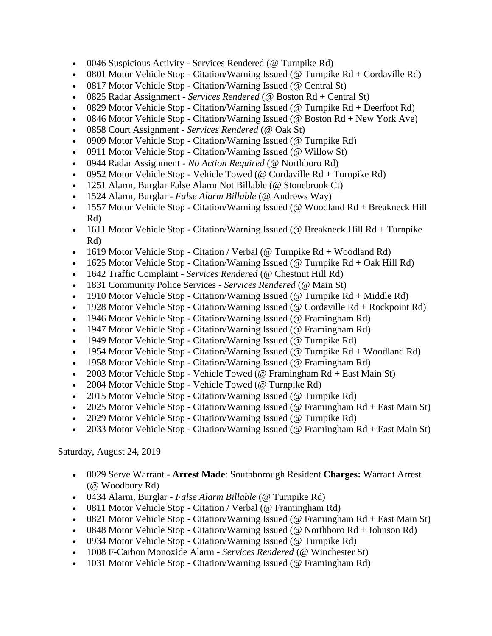- 0046 Suspicious Activity Services Rendered (@ Turnpike Rd)
- 0801 Motor Vehicle Stop Citation/Warning Issued ( $@$  Turnpike Rd + Cordaville Rd)
- 0817 Motor Vehicle Stop Citation/Warning Issued (@ Central St)
- 0825 Radar Assignment *Services Rendered* (@ Boston Rd + Central St)
- 0829 Motor Vehicle Stop Citation/Warning Issued (@ Turnpike  $Rd +$  Deerfoot  $Rd$ )
- 0846 Motor Vehicle Stop Citation/Warning Issued (@ Boston  $Rd + New York$  Ave)
- 0858 Court Assignment *Services Rendered* (@ Oak St)
- 0909 Motor Vehicle Stop Citation/Warning Issued (@ Turnpike Rd)
- 0911 Motor Vehicle Stop Citation/Warning Issued (@ Willow St)
- 0944 Radar Assignment *No Action Required* (@ Northboro Rd)
- 0952 Motor Vehicle Stop Vehicle Towed (@ Cordaville  $Rd + Turnpike Rd$ )
- 1251 Alarm, Burglar False Alarm Not Billable (@ Stonebrook Ct)
- 1524 Alarm, Burglar *False Alarm Billable* (@ Andrews Way)
- 1557 Motor Vehicle Stop Citation/Warning Issued (@ Woodland Rd + Breakneck Hill Rd)
- 1611 Motor Vehicle Stop Citation/Warning Issued (@ Breakneck Hill Rd + Turnpike Rd)
- 1619 Motor Vehicle Stop Citation / Verbal (@ Turnpike  $Rd + Woodland Rd)$
- 1625 Motor Vehicle Stop Citation/Warning Issued (@ Turnpike Rd + Oak Hill Rd)
- 1642 Traffic Complaint *Services Rendered* (@ Chestnut Hill Rd)
- 1831 Community Police Services *Services Rendered* (@ Main St)
- 1910 Motor Vehicle Stop Citation/Warning Issued (@ Turnpike Rd + Middle Rd)
- 1928 Motor Vehicle Stop Citation/Warning Issued (@ Cordaville  $Rd + Rockpoint Rd$ )
- 1946 Motor Vehicle Stop Citation/Warning Issued (@ Framingham Rd)
- 1947 Motor Vehicle Stop Citation/Warning Issued (@ Framingham Rd)
- 1949 Motor Vehicle Stop Citation/Warning Issued (@ Turnpike Rd)
- 1954 Motor Vehicle Stop Citation/Warning Issued ( $@$  Turnpike Rd + Woodland Rd)
- 1958 Motor Vehicle Stop Citation/Warning Issued (@ Framingham Rd)
- 2003 Motor Vehicle Stop Vehicle Towed (@ Framingham  $Rd + East Main St$ )
- 2004 Motor Vehicle Stop Vehicle Towed (@ Turnpike Rd)
- 2015 Motor Vehicle Stop Citation/Warning Issued (@ Turnpike Rd)
- 2025 Motor Vehicle Stop Citation/Warning Issued (@ Framingham Rd + East Main St)
- 2029 Motor Vehicle Stop Citation/Warning Issued (@ Turnpike Rd)
- 2033 Motor Vehicle Stop Citation/Warning Issued (@ Framingham Rd + East Main St)

Saturday, August 24, 2019

- 0029 Serve Warrant **Arrest Made**: Southborough Resident **Charges:** Warrant Arrest (@ Woodbury Rd)
- 0434 Alarm, Burglar *False Alarm Billable* (@ Turnpike Rd)
- 0811 Motor Vehicle Stop Citation / Verbal (@ Framingham Rd)
- 0821 Motor Vehicle Stop Citation/Warning Issued (@ Framingham Rd + East Main St)
- 0848 Motor Vehicle Stop Citation/Warning Issued (@ Northboro  $Rd + Johnson Rd$ )
- 0934 Motor Vehicle Stop Citation/Warning Issued (@ Turnpike Rd)
- 1008 F-Carbon Monoxide Alarm *Services Rendered* (@ Winchester St)
- 1031 Motor Vehicle Stop Citation/Warning Issued (@ Framingham Rd)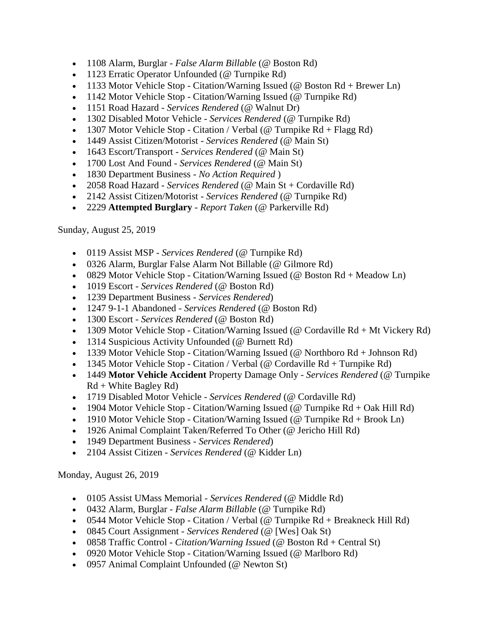- 1108 Alarm, Burglar *False Alarm Billable* (@ Boston Rd)
- 1123 Erratic Operator Unfounded (@ Turnpike Rd)
- $\bullet$  1133 Motor Vehicle Stop Citation/Warning Issued (@ Boston Rd + Brewer Ln)
- 1142 Motor Vehicle Stop Citation/Warning Issued (@ Turnpike Rd)
- 1151 Road Hazard *Services Rendered* (@ Walnut Dr)
- 1302 Disabled Motor Vehicle *Services Rendered* (@ Turnpike Rd)
- 1307 Motor Vehicle Stop Citation / Verbal (@ Turnpike  $Rd + Flagg Rd$ )
- 1449 Assist Citizen/Motorist *Services Rendered* (@ Main St)
- 1643 Escort/Transport *Services Rendered* (@ Main St)
- 1700 Lost And Found *Services Rendered* (@ Main St)
- 1830 Department Business *No Action Required* )
- 2058 Road Hazard *Services Rendered* (@ Main St + Cordaville Rd)
- 2142 Assist Citizen/Motorist *Services Rendered* (@ Turnpike Rd)
- 2229 **Attempted Burglary**  *Report Taken* (@ Parkerville Rd)

Sunday, August 25, 2019

- 0119 Assist MSP *Services Rendered* (@ Turnpike Rd)
- 0326 Alarm, Burglar False Alarm Not Billable (@ Gilmore Rd)
- 0829 Motor Vehicle Stop Citation/Warning Issued ( $@$  Boston Rd + Meadow Ln)
- 1019 Escort *Services Rendered* (@ Boston Rd)
- 1239 Department Business *Services Rendered*)
- 1247 9-1-1 Abandoned *Services Rendered* (@ Boston Rd)
- 1300 Escort *Services Rendered* (@ Boston Rd)
- 1309 Motor Vehicle Stop Citation/Warning Issued (@ Cordaville Rd + Mt Vickery Rd)
- 1314 Suspicious Activity Unfounded (@ Burnett Rd)
- 1339 Motor Vehicle Stop Citation/Warning Issued (@ Northboro  $Rd + Johnson Rd$ )
- 1345 Motor Vehicle Stop Citation / Verbal (@ Cordaville  $Rd +$  Turnpike  $Rd$ )
- 1449 **Motor Vehicle Accident** Property Damage Only *Services Rendered* (@ Turnpike  $Rd + White$  Bagley  $Rd$ )
- 1719 Disabled Motor Vehicle *Services Rendered* (@ Cordaville Rd)
- 1904 Motor Vehicle Stop Citation/Warning Issued (@ Turnpike  $Rd + Oak$  Hill  $Rd$ )
- 1910 Motor Vehicle Stop Citation/Warning Issued ( $@$  Turnpike Rd + Brook Ln)
- 1926 Animal Complaint Taken/Referred To Other (@ Jericho Hill Rd)
- 1949 Department Business *Services Rendered*)
- 2104 Assist Citizen *Services Rendered* (@ Kidder Ln)

Monday, August 26, 2019

- 0105 Assist UMass Memorial *Services Rendered* (@ Middle Rd)
- 0432 Alarm, Burglar *False Alarm Billable* (@ Turnpike Rd)
- 0544 Motor Vehicle Stop Citation / Verbal (@ Turnpike  $Rd + B$ reakneck Hill Rd)
- 0845 Court Assignment *Services Rendered* (@ [Wes] Oak St)
- 0858 Traffic Control *Citation/Warning Issued* (@ Boston Rd + Central St)
- 0920 Motor Vehicle Stop Citation/Warning Issued (@ Marlboro Rd)
- 0957 Animal Complaint Unfounded (@ Newton St)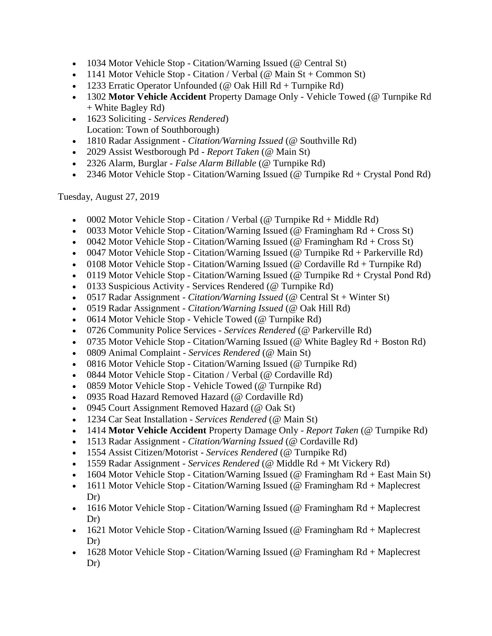- 1034 Motor Vehicle Stop Citation/Warning Issued (@ Central St)
- 1141 Motor Vehicle Stop Citation / Verbal ( $@$  Main St + Common St)
- 1233 Erratic Operator Unfounded (@ Oak Hill  $Rd + Turnpike Rd$ )
- 1302 **Motor Vehicle Accident** Property Damage Only Vehicle Towed (@ Turnpike Rd + White Bagley Rd)
- 1623 Soliciting *Services Rendered*) Location: Town of Southborough)
- 1810 Radar Assignment *Citation/Warning Issued* (@ Southville Rd)
- 2029 Assist Westborough Pd *Report Taken* (@ Main St)
- 2326 Alarm, Burglar *False Alarm Billable* (@ Turnpike Rd)
- 2346 Motor Vehicle Stop Citation/Warning Issued (@ Turnpike Rd + Crystal Pond Rd)

Tuesday, August 27, 2019

- 0002 Motor Vehicle Stop Citation / Verbal (@ Turnpike  $Rd + Middle Rd$ )
- 0033 Motor Vehicle Stop Citation/Warning Issued (@ Framingham  $Rd + Cross St$ )
- 0042 Motor Vehicle Stop Citation/Warning Issued (@ Framingham  $Rd$  + Cross St)
- 0047 Motor Vehicle Stop Citation/Warning Issued (@ Turnpike Rd + Parkerville Rd)
- 0108 Motor Vehicle Stop Citation/Warning Issued ( $@$  Cordaville Rd + Turnpike Rd)
- 0119 Motor Vehicle Stop Citation/Warning Issued (@ Turnpike  $Rd + Crystal$  Pond  $Rd$ )
- 0133 Suspicious Activity Services Rendered (@ Turnpike Rd)
- 0517 Radar Assignment *Citation/Warning Issued* (@ Central St + Winter St)
- 0519 Radar Assignment *Citation/Warning Issued* (@ Oak Hill Rd)
- 0614 Motor Vehicle Stop Vehicle Towed (@ Turnpike Rd)
- 0726 Community Police Services *Services Rendered* (@ Parkerville Rd)
- 0735 Motor Vehicle Stop Citation/Warning Issued (@ White Bagley  $Rd + Boston Rd$ )
- 0809 Animal Complaint *Services Rendered* (@ Main St)
- 0816 Motor Vehicle Stop Citation/Warning Issued (@ Turnpike Rd)
- 0844 Motor Vehicle Stop Citation / Verbal (@ Cordaville Rd)
- 0859 Motor Vehicle Stop Vehicle Towed (@ Turnpike Rd)
- 0935 Road Hazard Removed Hazard (@ Cordaville Rd)
- 0945 Court Assignment Removed Hazard (@ Oak St)
- 1234 Car Seat Installation *Services Rendered* (@ Main St)
- 1414 **Motor Vehicle Accident** Property Damage Only *Report Taken* (@ Turnpike Rd)
- 1513 Radar Assignment *Citation/Warning Issued* (@ Cordaville Rd)
- 1554 Assist Citizen/Motorist *Services Rendered* (@ Turnpike Rd)
- 1559 Radar Assignment *Services Rendered* (@ Middle Rd + Mt Vickery Rd)
- 1604 Motor Vehicle Stop Citation/Warning Issued (@ Framingham  $Rd + East Main St$ )
- 1611 Motor Vehicle Stop Citation/Warning Issued (@ Framingham Rd + Maplecrest Dr)
- 1616 Motor Vehicle Stop Citation/Warning Issued (@ Framingham Rd + Maplecrest Dr)
- 1621 Motor Vehicle Stop Citation/Warning Issued (@ Framingham Rd + Maplecrest) Dr)
- 1628 Motor Vehicle Stop Citation/Warning Issued (@ Framingham Rd + Maplecrest Dr)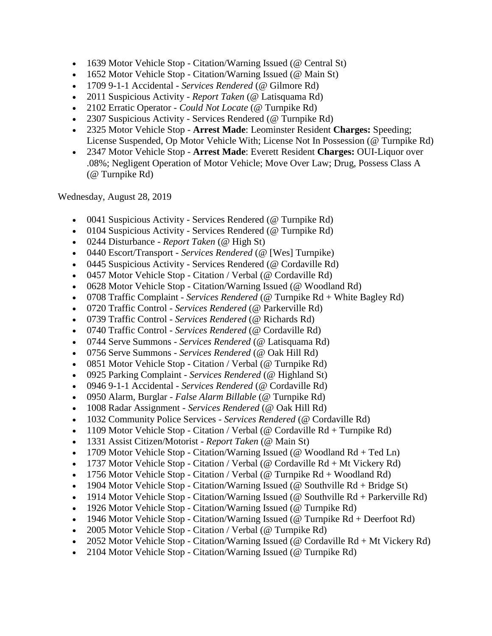- 1639 Motor Vehicle Stop Citation/Warning Issued (@ Central St)
- 1652 Motor Vehicle Stop Citation/Warning Issued (@ Main St)
- 1709 9-1-1 Accidental *Services Rendered* (@ Gilmore Rd)
- 2011 Suspicious Activity *Report Taken* (@ Latisquama Rd)
- 2102 Erratic Operator *Could Not Locate* (@ Turnpike Rd)
- 2307 Suspicious Activity Services Rendered (@ Turnpike Rd)
- 2325 Motor Vehicle Stop **Arrest Made**: Leominster Resident **Charges:** Speeding; License Suspended, Op Motor Vehicle With; License Not In Possession (@ Turnpike Rd)
- 2347 Motor Vehicle Stop **Arrest Made**: Everett Resident **Charges:** OUI-Liquor over .08%; Negligent Operation of Motor Vehicle; Move Over Law; Drug, Possess Class A (@ Turnpike Rd)

Wednesday, August 28, 2019

- 0041 Suspicious Activity Services Rendered (@ Turnpike Rd)
- 0104 Suspicious Activity Services Rendered (@ Turnpike Rd)
- 0244 Disturbance *Report Taken* (@ High St)
- 0440 Escort/Transport *Services Rendered* (@ [Wes] Turnpike)
- 0445 Suspicious Activity Services Rendered (@ Cordaville Rd)
- 0457 Motor Vehicle Stop Citation / Verbal (@ Cordaville Rd)
- 0628 Motor Vehicle Stop Citation/Warning Issued (@ Woodland Rd)
- 0708 Traffic Complaint *Services Rendered* (@ Turnpike Rd + White Bagley Rd)
- 0720 Traffic Control *Services Rendered* (@ Parkerville Rd)
- 0739 Traffic Control *Services Rendered* (@ Richards Rd)
- 0740 Traffic Control *Services Rendered* (@ Cordaville Rd)
- 0744 Serve Summons *Services Rendered* (@ Latisquama Rd)
- 0756 Serve Summons *Services Rendered* (@ Oak Hill Rd)
- 0851 Motor Vehicle Stop Citation / Verbal (@ Turnpike Rd)
- 0925 Parking Complaint *Services Rendered* (@ Highland St)
- 0946 9-1-1 Accidental *Services Rendered* (@ Cordaville Rd)
- 0950 Alarm, Burglar *False Alarm Billable* (@ Turnpike Rd)
- 1008 Radar Assignment *Services Rendered* (@ Oak Hill Rd)
- 1032 Community Police Services *Services Rendered* (@ Cordaville Rd)
- 1109 Motor Vehicle Stop Citation / Verbal (@ Cordaville Rd + Turnpike Rd)
- 1331 Assist Citizen/Motorist *Report Taken* (@ Main St)
- 1709 Motor Vehicle Stop Citation/Warning Issued (@ Woodland  $Rd + Ted \, Ln$ )
- 1737 Motor Vehicle Stop Citation / Verbal (@ Cordaville  $Rd + Mt$  Vickery  $Rd$ )
- 1756 Motor Vehicle Stop Citation / Verbal (@ Turnpike  $Rd + Woodland Rd$ )
- 1904 Motor Vehicle Stop Citation/Warning Issued (@ Southville  $Rd + Bridge St$ )
- 1914 Motor Vehicle Stop Citation/Warning Issued (@ Southville Rd + Parkerville Rd)
- 1926 Motor Vehicle Stop Citation/Warning Issued (@ Turnpike Rd)
- 1946 Motor Vehicle Stop Citation/Warning Issued (@ Turnpike  $Rd +$  Deerfoot  $Rd$ )
- 2005 Motor Vehicle Stop Citation / Verbal (@ Turnpike Rd)
- 2052 Motor Vehicle Stop Citation/Warning Issued (@ Cordaville  $Rd + Mt$  Vickery  $Rd$ )
- 2104 Motor Vehicle Stop Citation/Warning Issued (@ Turnpike Rd)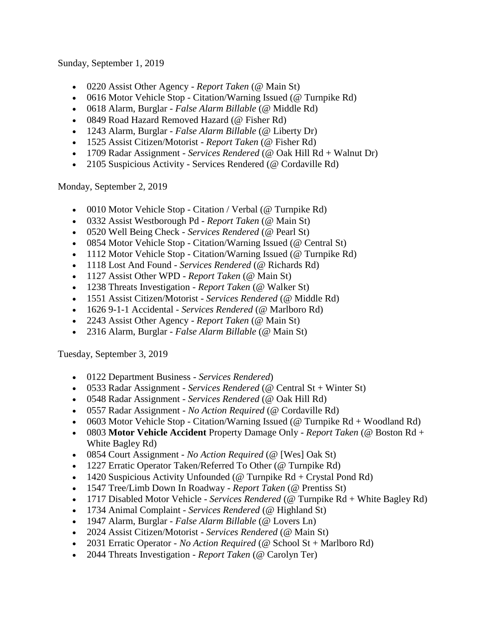Sunday, September 1, 2019

- 0220 Assist Other Agency *Report Taken* (@ Main St)
- 0616 Motor Vehicle Stop Citation/Warning Issued (@ Turnpike Rd)
- 0618 Alarm, Burglar *False Alarm Billable* (@ Middle Rd)
- 0849 Road Hazard Removed Hazard (@ Fisher Rd)
- 1243 Alarm, Burglar *False Alarm Billable* (@ Liberty Dr)
- 1525 Assist Citizen/Motorist *Report Taken* (@ Fisher Rd)
- 1709 Radar Assignment *Services Rendered* (@ Oak Hill Rd + Walnut Dr)
- 2105 Suspicious Activity Services Rendered (@ Cordaville Rd)

Monday, September 2, 2019

- 0010 Motor Vehicle Stop Citation / Verbal (@ Turnpike Rd)
- 0332 Assist Westborough Pd *Report Taken* (@ Main St)
- 0520 Well Being Check *Services Rendered* (@ Pearl St)
- 0854 Motor Vehicle Stop Citation/Warning Issued (@ Central St)
- 1112 Motor Vehicle Stop Citation/Warning Issued (@ Turnpike Rd)
- 1118 Lost And Found *Services Rendered* (@ Richards Rd)
- 1127 Assist Other WPD *Report Taken* (@ Main St)
- 1238 Threats Investigation *Report Taken* (@ Walker St)
- 1551 Assist Citizen/Motorist *Services Rendered* (@ Middle Rd)
- 1626 9-1-1 Accidental *Services Rendered* (@ Marlboro Rd)
- 2243 Assist Other Agency *Report Taken* (@ Main St)
- 2316 Alarm, Burglar *False Alarm Billable* (@ Main St)

Tuesday, September 3, 2019

- 0122 Department Business *Services Rendered*)
- 0533 Radar Assignment *Services Rendered* (@ Central St + Winter St)
- 0548 Radar Assignment *Services Rendered* (@ Oak Hill Rd)
- 0557 Radar Assignment *No Action Required* (@ Cordaville Rd)
- 0603 Motor Vehicle Stop Citation/Warning Issued ( $@$  Turnpike Rd + Woodland Rd)
- 0803 **Motor Vehicle Accident** Property Damage Only *Report Taken* (@ Boston Rd + White Bagley Rd)
- 0854 Court Assignment *No Action Required* (@ [Wes] Oak St)
- 1227 Erratic Operator Taken/Referred To Other (@ Turnpike Rd)
- 1420 Suspicious Activity Unfounded ( $@$  Turnpike Rd + Crystal Pond Rd)
- 1547 Tree/Limb Down In Roadway *Report Taken* (@ Prentiss St)
- 1717 Disabled Motor Vehicle *Services Rendered* (@ Turnpike Rd + White Bagley Rd)
- 1734 Animal Complaint *Services Rendered* (@ Highland St)
- 1947 Alarm, Burglar *False Alarm Billable* (@ Lovers Ln)
- 2024 Assist Citizen/Motorist *Services Rendered* (@ Main St)
- 2031 Erratic Operator *No Action Required* (@ School St + Marlboro Rd)
- 2044 Threats Investigation *Report Taken* (@ Carolyn Ter)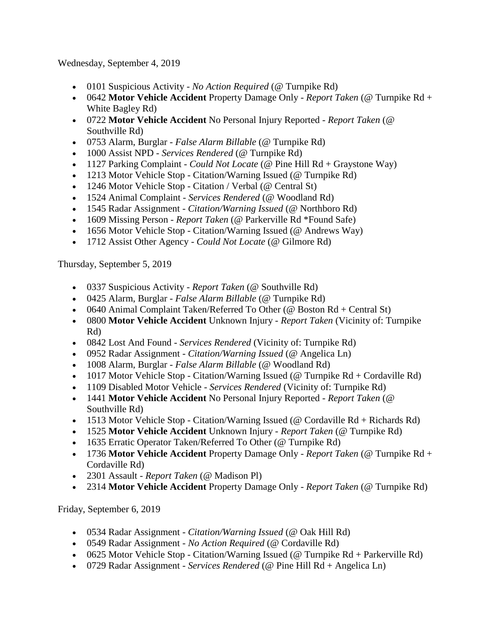Wednesday, September 4, 2019

- 0101 Suspicious Activity *No Action Required* (@ Turnpike Rd)
- 0642 **Motor Vehicle Accident** Property Damage Only *Report Taken* (@ Turnpike Rd + White Bagley Rd)
- 0722 **Motor Vehicle Accident** No Personal Injury Reported *Report Taken* (@ Southville Rd)
- 0753 Alarm, Burglar *False Alarm Billable* (@ Turnpike Rd)
- 1000 Assist NPD *Services Rendered* (@ Turnpike Rd)
- 1127 Parking Complaint *Could Not Locate* (@ Pine Hill Rd + Graystone Way)
- 1213 Motor Vehicle Stop Citation/Warning Issued (@ Turnpike Rd)
- 1246 Motor Vehicle Stop Citation / Verbal (@ Central St)
- 1524 Animal Complaint *Services Rendered* (@ Woodland Rd)
- 1545 Radar Assignment *Citation/Warning Issued* (@ Northboro Rd)
- 1609 Missing Person *Report Taken* (@ Parkerville Rd \*Found Safe)
- 1656 Motor Vehicle Stop Citation/Warning Issued (@ Andrews Way)
- 1712 Assist Other Agency *Could Not Locate* (@ Gilmore Rd)

Thursday, September 5, 2019

- 0337 Suspicious Activity *Report Taken* (@ Southville Rd)
- 0425 Alarm, Burglar *False Alarm Billable* (@ Turnpike Rd)
- 0640 Animal Complaint Taken/Referred To Other ( $@$  Boston Rd + Central St)
- 0800 **Motor Vehicle Accident** Unknown Injury *Report Taken* (Vicinity of: Turnpike Rd)
- 0842 Lost And Found *Services Rendered* (Vicinity of: Turnpike Rd)
- 0952 Radar Assignment *Citation/Warning Issued* (@ Angelica Ln)
- 1008 Alarm, Burglar *False Alarm Billable* (@ Woodland Rd)
- 1017 Motor Vehicle Stop Citation/Warning Issued (@ Turnpike  $Rd + Cordaville Rd$ )
- 1109 Disabled Motor Vehicle *Services Rendered* (Vicinity of: Turnpike Rd)
- 1441 **Motor Vehicle Accident** No Personal Injury Reported *Report Taken* (@ Southville Rd)
- 1513 Motor Vehicle Stop Citation/Warning Issued (@ Cordaville Rd + Richards Rd)
- 1525 **Motor Vehicle Accident** Unknown Injury *Report Taken* (@ Turnpike Rd)
- 1635 Erratic Operator Taken/Referred To Other (@ Turnpike Rd)
- 1736 **Motor Vehicle Accident** Property Damage Only *Report Taken* (@ Turnpike Rd + Cordaville Rd)
- 2301 Assault *Report Taken* (@ Madison Pl)
- 2314 **Motor Vehicle Accident** Property Damage Only *Report Taken* (@ Turnpike Rd)

Friday, September 6, 2019

- 0534 Radar Assignment *Citation/Warning Issued* (@ Oak Hill Rd)
- 0549 Radar Assignment *No Action Required* (@ Cordaville Rd)
- 0625 Motor Vehicle Stop Citation/Warning Issued (@ Turnpike Rd + Parkerville Rd)
- 0729 Radar Assignment *Services Rendered* (@ Pine Hill Rd + Angelica Ln)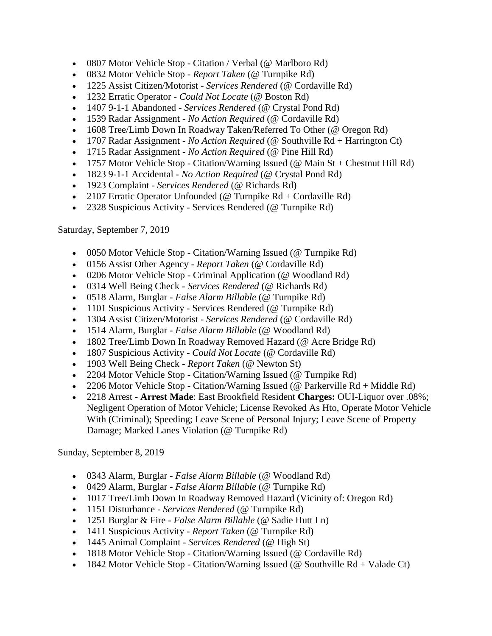- 0807 Motor Vehicle Stop Citation / Verbal (@ Marlboro Rd)
- 0832 Motor Vehicle Stop *Report Taken* (@ Turnpike Rd)
- 1225 Assist Citizen/Motorist *Services Rendered* (@ Cordaville Rd)
- 1232 Erratic Operator *Could Not Locate* (@ Boston Rd)
- 1407 9-1-1 Abandoned *Services Rendered* (@ Crystal Pond Rd)
- 1539 Radar Assignment *No Action Required* (@ Cordaville Rd)
- 1608 Tree/Limb Down In Roadway Taken/Referred To Other (@ Oregon Rd)
- 1707 Radar Assignment *No Action Required* (@ Southville Rd + Harrington Ct)
- 1715 Radar Assignment *No Action Required* (@ Pine Hill Rd)
- 1757 Motor Vehicle Stop Citation/Warning Issued ( $\omega$  Main St + Chestnut Hill Rd)
- 1823 9-1-1 Accidental *No Action Required* (@ Crystal Pond Rd)
- 1923 Complaint *Services Rendered* (@ Richards Rd)
- 2107 Erratic Operator Unfounded (@ Turnpike  $Rd + Cordaville Rd$ )
- 2328 Suspicious Activity Services Rendered (@ Turnpike Rd)

Saturday, September 7, 2019

- 0050 Motor Vehicle Stop Citation/Warning Issued (@ Turnpike Rd)
- 0156 Assist Other Agency *Report Taken* (@ Cordaville Rd)
- 0206 Motor Vehicle Stop Criminal Application (@ Woodland Rd)
- 0314 Well Being Check *Services Rendered* (@ Richards Rd)
- 0518 Alarm, Burglar *False Alarm Billable* (@ Turnpike Rd)
- 1101 Suspicious Activity Services Rendered (@ Turnpike Rd)
- 1304 Assist Citizen/Motorist *Services Rendered* (@ Cordaville Rd)
- 1514 Alarm, Burglar *False Alarm Billable* (@ Woodland Rd)
- 1802 Tree/Limb Down In Roadway Removed Hazard (@ Acre Bridge Rd)
- 1807 Suspicious Activity *Could Not Locate* (@ Cordaville Rd)
- 1903 Well Being Check *Report Taken* (@ Newton St)
- 2204 Motor Vehicle Stop Citation/Warning Issued (@ Turnpike Rd)
- 2206 Motor Vehicle Stop Citation/Warning Issued (@ Parkerville Rd + Middle Rd)
- 2218 Arrest **Arrest Made**: East Brookfield Resident **Charges:** OUI-Liquor over .08%; Negligent Operation of Motor Vehicle; License Revoked As Hto, Operate Motor Vehicle With (Criminal); Speeding; Leave Scene of Personal Injury; Leave Scene of Property Damage; Marked Lanes Violation (@ Turnpike Rd)

Sunday, September 8, 2019

- 0343 Alarm, Burglar *False Alarm Billable* (@ Woodland Rd)
- 0429 Alarm, Burglar *False Alarm Billable* (@ Turnpike Rd)
- 1017 Tree/Limb Down In Roadway Removed Hazard (Vicinity of: Oregon Rd)
- 1151 Disturbance *Services Rendered* (@ Turnpike Rd)
- 1251 Burglar & Fire *False Alarm Billable* (@ Sadie Hutt Ln)
- 1411 Suspicious Activity *Report Taken* (@ Turnpike Rd)
- 1445 Animal Complaint *Services Rendered* (@ High St)
- 1818 Motor Vehicle Stop Citation/Warning Issued (@ Cordaville Rd)
- 1842 Motor Vehicle Stop Citation/Warning Issued (@ Southville  $Rd + Valade Ct$ )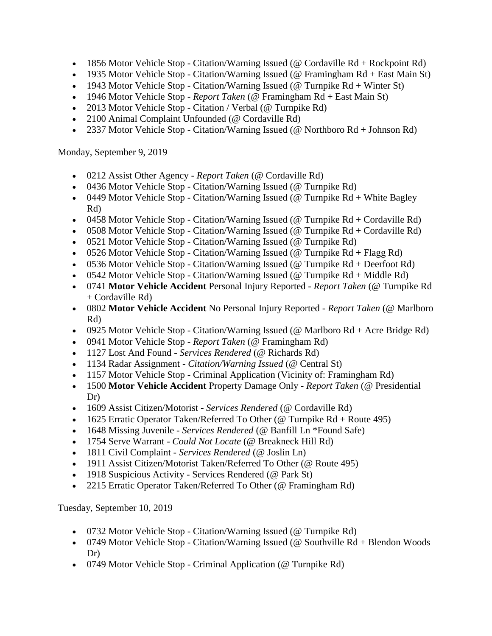- 1856 Motor Vehicle Stop Citation/Warning Issued (@ Cordaville  $Rd + Rockpoint Rd$ )
- 1935 Motor Vehicle Stop Citation/Warning Issued (@ Framingham Rd + East Main St)
- 1943 Motor Vehicle Stop Citation/Warning Issued (@ Turnpike  $Rd +$  Winter St)
- 1946 Motor Vehicle Stop *Report Taken* (@ Framingham Rd + East Main St)
- 2013 Motor Vehicle Stop Citation / Verbal (@ Turnpike Rd)
- 2100 Animal Complaint Unfounded (@ Cordaville Rd)
- 2337 Motor Vehicle Stop Citation/Warning Issued (@ Northboro  $Rd + Johnson Rd$ )

Monday, September 9, 2019

- 0212 Assist Other Agency *Report Taken* (@ Cordaville Rd)
- 0436 Motor Vehicle Stop Citation/Warning Issued (@ Turnpike Rd)
- 0449 Motor Vehicle Stop Citation/Warning Issued (@ Turnpike  $Rd + White$  Bagley Rd)
- 0458 Motor Vehicle Stop Citation/Warning Issued ( $@$  Turnpike Rd + Cordaville Rd)
- 0508 Motor Vehicle Stop Citation/Warning Issued (@ Turnpike  $Rd + Cordaville Rd$ )
- 0521 Motor Vehicle Stop Citation/Warning Issued (@ Turnpike Rd)
- 0526 Motor Vehicle Stop Citation/Warning Issued (@ Turnpike  $Rd + Flagg Rd$ )
- 0536 Motor Vehicle Stop Citation/Warning Issued (@ Turnpike  $Rd +$  Deerfoot  $Rd$ )
- 0542 Motor Vehicle Stop Citation/Warning Issued (@ Turnpike  $Rd + Middle Rd$ )
- 0741 **Motor Vehicle Accident** Personal Injury Reported *Report Taken* (@ Turnpike Rd + Cordaville Rd)
- 0802 **Motor Vehicle Accident** No Personal Injury Reported *Report Taken* (@ Marlboro Rd)
- 0925 Motor Vehicle Stop Citation/Warning Issued (@ Marlboro Rd + Acre Bridge Rd)
- 0941 Motor Vehicle Stop *Report Taken* (@ Framingham Rd)
- 1127 Lost And Found *Services Rendered* (@ Richards Rd)
- 1134 Radar Assignment *Citation/Warning Issued* (@ Central St)
- 1157 Motor Vehicle Stop Criminal Application (Vicinity of: Framingham Rd)
- 1500 **Motor Vehicle Accident** Property Damage Only *Report Taken* (@ Presidential Dr)
- 1609 Assist Citizen/Motorist *Services Rendered* (@ Cordaville Rd)
- 1625 Erratic Operator Taken/Referred To Other (@ Turnpike Rd + Route 495)
- 1648 Missing Juvenile *Services Rendered* (@ Banfill Ln \*Found Safe)
- 1754 Serve Warrant *Could Not Locate* (@ Breakneck Hill Rd)
- 1811 Civil Complaint *Services Rendered* (@ Joslin Ln)
- 1911 Assist Citizen/Motorist Taken/Referred To Other (@ Route 495)
- 1918 Suspicious Activity Services Rendered (@ Park St)
- 2215 Erratic Operator Taken/Referred To Other (@ Framingham Rd)

Tuesday, September 10, 2019

- 0732 Motor Vehicle Stop Citation/Warning Issued (@ Turnpike Rd)
- 0749 Motor Vehicle Stop Citation/Warning Issued (@ Southville Rd + Blendon Woods Dr)
- 0749 Motor Vehicle Stop Criminal Application (@ Turnpike Rd)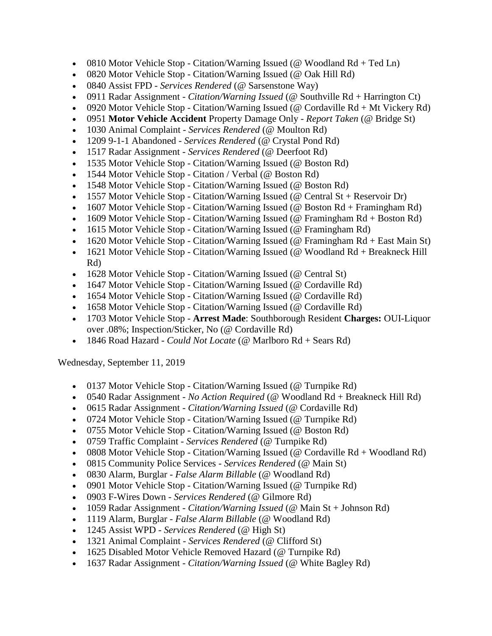- 0810 Motor Vehicle Stop Citation/Warning Issued (@ Woodland  $Rd + Ted \, Ln$ )
- 0820 Motor Vehicle Stop Citation/Warning Issued (@ Oak Hill Rd)
- 0840 Assist FPD *Services Rendered* (@ Sarsenstone Way)
- 0911 Radar Assignment *Citation/Warning Issued* (@ Southville Rd + Harrington Ct)
- 0920 Motor Vehicle Stop Citation/Warning Issued (@ Cordaville  $Rd + Mt$  Vickery  $Rd$ )
- 0951 **Motor Vehicle Accident** Property Damage Only *Report Taken* (@ Bridge St)
- 1030 Animal Complaint *Services Rendered* (@ Moulton Rd)
- 1209 9-1-1 Abandoned *Services Rendered* (@ Crystal Pond Rd)
- 1517 Radar Assignment *Services Rendered* (@ Deerfoot Rd)
- 1535 Motor Vehicle Stop Citation/Warning Issued (@ Boston Rd)
- 1544 Motor Vehicle Stop Citation / Verbal (@ Boston Rd)
- 1548 Motor Vehicle Stop Citation/Warning Issued (@ Boston Rd)
- 1557 Motor Vehicle Stop Citation/Warning Issued (@ Central St + Reservoir Dr)
- 1607 Motor Vehicle Stop Citation/Warning Issued ( $@$  Boston Rd + Framingham Rd)
- 1609 Motor Vehicle Stop Citation/Warning Issued (@ Framingham Rd + Boston Rd)
- 1615 Motor Vehicle Stop Citation/Warning Issued (@ Framingham Rd)
- 1620 Motor Vehicle Stop Citation/Warning Issued (@ Framingham Rd + East Main St)
- 1621 Motor Vehicle Stop Citation/Warning Issued (@ Woodland Rd + Breakneck Hill Rd)
- 1628 Motor Vehicle Stop Citation/Warning Issued (@ Central St)
- 1647 Motor Vehicle Stop Citation/Warning Issued (@ Cordaville Rd)
- 1654 Motor Vehicle Stop Citation/Warning Issued (@ Cordaville Rd)
- 1658 Motor Vehicle Stop Citation/Warning Issued (@ Cordaville Rd)
- 1703 Motor Vehicle Stop **Arrest Made**: Southborough Resident **Charges:** OUI-Liquor over .08%; Inspection/Sticker, No (@ Cordaville Rd)
- 1846 Road Hazard *Could Not Locate* (@ Marlboro Rd + Sears Rd)

Wednesday, September 11, 2019

- 0137 Motor Vehicle Stop Citation/Warning Issued (@ Turnpike Rd)
- 0540 Radar Assignment *No Action Required* (@ Woodland Rd + Breakneck Hill Rd)
- 0615 Radar Assignment *Citation/Warning Issued* (@ Cordaville Rd)
- 0724 Motor Vehicle Stop Citation/Warning Issued (@ Turnpike Rd)
- 0755 Motor Vehicle Stop Citation/Warning Issued (@ Boston Rd)
- 0759 Traffic Complaint *Services Rendered* (@ Turnpike Rd)
- 0808 Motor Vehicle Stop Citation/Warning Issued (@ Cordaville  $Rd + Woodland Rd$ )
- 0815 Community Police Services *Services Rendered* (@ Main St)
- 0830 Alarm, Burglar *False Alarm Billable* (@ Woodland Rd)
- 0901 Motor Vehicle Stop Citation/Warning Issued (@ Turnpike Rd)
- 0903 F-Wires Down *Services Rendered* (@ Gilmore Rd)
- 1059 Radar Assignment *Citation/Warning Issued* (@ Main St + Johnson Rd)
- 1119 Alarm, Burglar *False Alarm Billable* (@ Woodland Rd)
- 1245 Assist WPD *Services Rendered* (@ High St)
- 1321 Animal Complaint *Services Rendered* (@ Clifford St)
- 1625 Disabled Motor Vehicle Removed Hazard (@ Turnpike Rd)
- 1637 Radar Assignment *Citation/Warning Issued* (@ White Bagley Rd)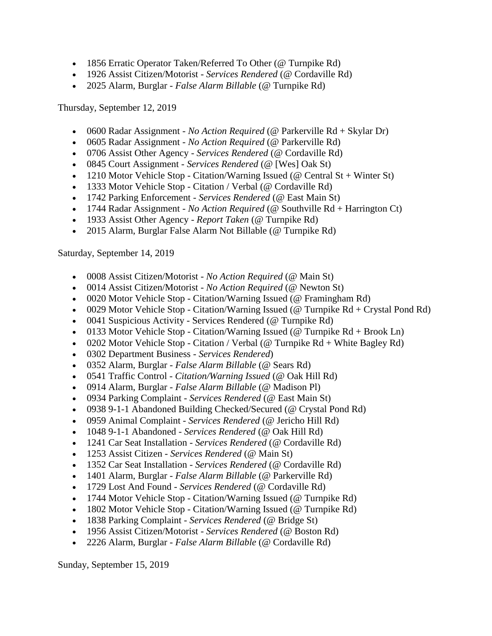- 1856 Erratic Operator Taken/Referred To Other (@ Turnpike Rd)
- 1926 Assist Citizen/Motorist *Services Rendered* (@ Cordaville Rd)
- 2025 Alarm, Burglar *False Alarm Billable* (@ Turnpike Rd)

Thursday, September 12, 2019

- 0600 Radar Assignment *No Action Required* (@ Parkerville Rd + Skylar Dr)
- 0605 Radar Assignment *No Action Required* (@ Parkerville Rd)
- 0706 Assist Other Agency *Services Rendered* (@ Cordaville Rd)
- 0845 Court Assignment *Services Rendered* (@ [Wes] Oak St)
- 1210 Motor Vehicle Stop Citation/Warning Issued (@ Central St + Winter St)
- 1333 Motor Vehicle Stop Citation / Verbal (@ Cordaville Rd)
- 1742 Parking Enforcement *Services Rendered* (@ East Main St)
- 1744 Radar Assignment *No Action Required* (@ Southville Rd + Harrington Ct)
- 1933 Assist Other Agency *Report Taken* (@ Turnpike Rd)
- 2015 Alarm, Burglar False Alarm Not Billable (@ Turnpike Rd)

Saturday, September 14, 2019

- 0008 Assist Citizen/Motorist *No Action Required* (@ Main St)
- 0014 Assist Citizen/Motorist *No Action Required* (@ Newton St)
- 0020 Motor Vehicle Stop Citation/Warning Issued (@ Framingham Rd)
- 0029 Motor Vehicle Stop Citation/Warning Issued (@ Turnpike  $Rd + Crystal$  Pond  $Rd$ )
- 0041 Suspicious Activity Services Rendered (@ Turnpike Rd)
- 0133 Motor Vehicle Stop Citation/Warning Issued (@ Turnpike  $Rd + Brook$  Ln)
- 0202 Motor Vehicle Stop Citation / Verbal (@ Turnpike  $Rd +$  White Bagley  $Rd$ )
- 0302 Department Business *Services Rendered*)
- 0352 Alarm, Burglar *False Alarm Billable* (@ Sears Rd)
- 0541 Traffic Control *Citation/Warning Issued* (@ Oak Hill Rd)
- 0914 Alarm, Burglar *False Alarm Billable* (@ Madison Pl)
- 0934 Parking Complaint *Services Rendered* (@ East Main St)
- 0938 9-1-1 Abandoned Building Checked/Secured (@ Crystal Pond Rd)
- 0959 Animal Complaint *Services Rendered* (@ Jericho Hill Rd)
- 1048 9-1-1 Abandoned *Services Rendered* (@ Oak Hill Rd)
- 1241 Car Seat Installation *Services Rendered* (@ Cordaville Rd)
- 1253 Assist Citizen *Services Rendered* (@ Main St)
- 1352 Car Seat Installation *Services Rendered* (@ Cordaville Rd)
- 1401 Alarm, Burglar *False Alarm Billable* (@ Parkerville Rd)
- 1729 Lost And Found *Services Rendered* (@ Cordaville Rd)
- 1744 Motor Vehicle Stop Citation/Warning Issued (@ Turnpike Rd)
- 1802 Motor Vehicle Stop Citation/Warning Issued (@ Turnpike Rd)
- 1838 Parking Complaint *Services Rendered* (@ Bridge St)
- 1956 Assist Citizen/Motorist *Services Rendered* (@ Boston Rd)
- 2226 Alarm, Burglar *False Alarm Billable* (@ Cordaville Rd)

Sunday, September 15, 2019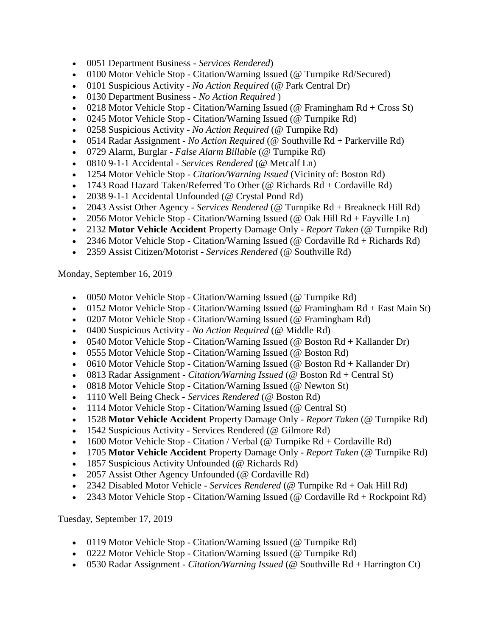- 0051 Department Business *Services Rendered*)
- 0100 Motor Vehicle Stop Citation/Warning Issued (@ Turnpike Rd/Secured)
- 0101 Suspicious Activity *No Action Required* (@ Park Central Dr)
- 0130 Department Business *No Action Required* )
- 0218 Motor Vehicle Stop Citation/Warning Issued (@ Framingham  $Rd + Cross St$ )
- 0245 Motor Vehicle Stop Citation/Warning Issued (@ Turnpike Rd)
- 0258 Suspicious Activity *No Action Required* (@ Turnpike Rd)
- 0514 Radar Assignment *No Action Required* (@ Southville Rd + Parkerville Rd)
- 0729 Alarm, Burglar *False Alarm Billable* (@ Turnpike Rd)
- 0810 9-1-1 Accidental *Services Rendered* (@ Metcalf Ln)
- 1254 Motor Vehicle Stop *Citation/Warning Issued* (Vicinity of: Boston Rd)
- 1743 Road Hazard Taken/Referred To Other (@ Richards  $Rd + Cordaville Rd$ )
- 2038 9-1-1 Accidental Unfounded (@ Crystal Pond Rd)
- 2043 Assist Other Agency *Services Rendered* (@ Turnpike Rd + Breakneck Hill Rd)
- 2056 Motor Vehicle Stop Citation/Warning Issued (@ Oak Hill  $Rd + F$ ayville Ln)
- 2132 **Motor Vehicle Accident** Property Damage Only *Report Taken* (@ Turnpike Rd)
- 2346 Motor Vehicle Stop Citation/Warning Issued (@ Cordaville Rd + Richards Rd)
- 2359 Assist Citizen/Motorist *Services Rendered* (@ Southville Rd)

Monday, September 16, 2019

- 0050 Motor Vehicle Stop Citation/Warning Issued (@ Turnpike Rd)
- 0152 Motor Vehicle Stop Citation/Warning Issued ( $@$  Framingham Rd + East Main St)
- 0207 Motor Vehicle Stop Citation/Warning Issued (@ Framingham Rd)
- 0400 Suspicious Activity *No Action Required* (@ Middle Rd)
- 0540 Motor Vehicle Stop Citation/Warning Issued (@ Boston  $Rd + Kall$ ander Dr)
- 0555 Motor Vehicle Stop Citation/Warning Issued (@ Boston Rd)
- 0610 Motor Vehicle Stop Citation/Warning Issued (@ Boston  $Rd + Kall$ ander Dr)
- 0813 Radar Assignment *Citation/Warning Issued* (@ Boston Rd + Central St)
- 0818 Motor Vehicle Stop Citation/Warning Issued (@ Newton St)
- 1110 Well Being Check *Services Rendered* (@ Boston Rd)
- 1114 Motor Vehicle Stop Citation/Warning Issued (@ Central St)
- 1528 **Motor Vehicle Accident** Property Damage Only *Report Taken* (@ Turnpike Rd)
- 1542 Suspicious Activity Services Rendered (@ Gilmore Rd)
- 1600 Motor Vehicle Stop Citation / Verbal (@ Turnpike  $Rd$  + Cordaville  $Rd$ )
- 1705 **Motor Vehicle Accident** Property Damage Only *Report Taken* (@ Turnpike Rd)
- 1857 Suspicious Activity Unfounded (@ Richards Rd)
- 2057 Assist Other Agency Unfounded (@ Cordaville Rd)
- 2342 Disabled Motor Vehicle *Services Rendered* (@ Turnpike Rd + Oak Hill Rd)
- 2343 Motor Vehicle Stop Citation/Warning Issued (@ Cordaville Rd + Rockpoint Rd)

Tuesday, September 17, 2019

- 0119 Motor Vehicle Stop Citation/Warning Issued (@ Turnpike Rd)
- 0222 Motor Vehicle Stop Citation/Warning Issued (@ Turnpike Rd)
- 0530 Radar Assignment *Citation/Warning Issued* (@ Southville Rd + Harrington Ct)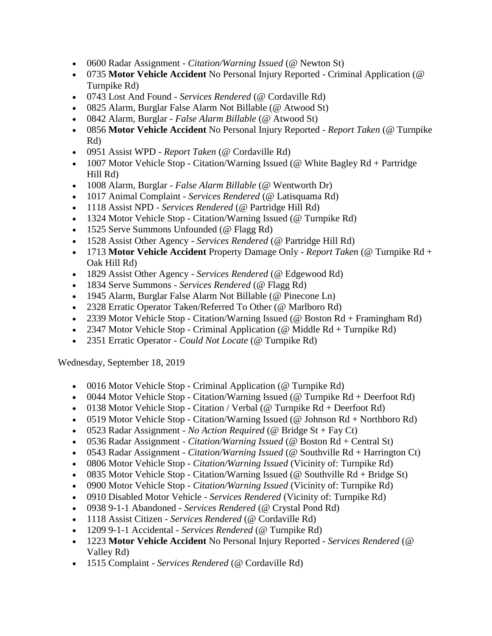- 0600 Radar Assignment *Citation/Warning Issued* (@ Newton St)
- 0735 **Motor Vehicle Accident** No Personal Injury Reported Criminal Application (@ Turnpike Rd)
- 0743 Lost And Found *Services Rendered* (@ Cordaville Rd)
- 0825 Alarm, Burglar False Alarm Not Billable (@ Atwood St)
- 0842 Alarm, Burglar *False Alarm Billable* (@ Atwood St)
- 0856 **Motor Vehicle Accident** No Personal Injury Reported *Report Taken* (@ Turnpike Rd)
- 0951 Assist WPD *Report Taken* (@ Cordaville Rd)
- 1007 Motor Vehicle Stop Citation/Warning Issued (@ White Bagley  $Rd +$  Partridge Hill Rd)
- 1008 Alarm, Burglar *False Alarm Billable* (@ Wentworth Dr)
- 1017 Animal Complaint *Services Rendered* (@ Latisquama Rd)
- 1118 Assist NPD *Services Rendered* (@ Partridge Hill Rd)
- 1324 Motor Vehicle Stop Citation/Warning Issued (@ Turnpike Rd)
- 1525 Serve Summons Unfounded (@ Flagg Rd)
- 1528 Assist Other Agency *Services Rendered* (@ Partridge Hill Rd)
- 1713 **Motor Vehicle Accident** Property Damage Only *Report Taken* (@ Turnpike Rd + Oak Hill Rd)
- 1829 Assist Other Agency *Services Rendered* (@ Edgewood Rd)
- 1834 Serve Summons *Services Rendered* (@ Flagg Rd)
- 1945 Alarm, Burglar False Alarm Not Billable (@ Pinecone Ln)
- 2328 Erratic Operator Taken/Referred To Other (@ Marlboro Rd)
- 2339 Motor Vehicle Stop Citation/Warning Issued (@ Boston Rd + Framingham Rd)
- 2347 Motor Vehicle Stop Criminal Application (@ Middle Rd + Turnpike Rd)
- 2351 Erratic Operator *Could Not Locate* (@ Turnpike Rd)

Wednesday, September 18, 2019

- 0016 Motor Vehicle Stop Criminal Application (@ Turnpike Rd)
- 0044 Motor Vehicle Stop Citation/Warning Issued (@ Turnpike  $Rd +$  Deerfoot  $Rd$ )
- 0138 Motor Vehicle Stop Citation / Verbal (@ Turnpike  $Rd +$  Deerfoot  $Rd$ )
- 0519 Motor Vehicle Stop Citation/Warning Issued (@ Johnson  $Rd + \text{Northboro }Rd$ )
- 0523 Radar Assignment *No Action Required* (@ Bridge St + Fay Ct)
- 0536 Radar Assignment *Citation/Warning Issued* (@ Boston Rd + Central St)
- 0543 Radar Assignment *Citation/Warning Issued* (@ Southville Rd + Harrington Ct)
- 0806 Motor Vehicle Stop *Citation/Warning Issued* (Vicinity of: Turnpike Rd)
- 0835 Motor Vehicle Stop Citation/Warning Issued (@ Southville  $Rd + Bridge St$ )
- 0900 Motor Vehicle Stop *Citation/Warning Issued* (Vicinity of: Turnpike Rd)
- 0910 Disabled Motor Vehicle *Services Rendered* (Vicinity of: Turnpike Rd)
- 0938 9-1-1 Abandoned *Services Rendered* (@ Crystal Pond Rd)
- 1118 Assist Citizen *Services Rendered* (@ Cordaville Rd)
- 1209 9-1-1 Accidental *Services Rendered* (@ Turnpike Rd)
- 1223 **Motor Vehicle Accident** No Personal Injury Reported *Services Rendered* (@ Valley Rd)
- 1515 Complaint *Services Rendered* (@ Cordaville Rd)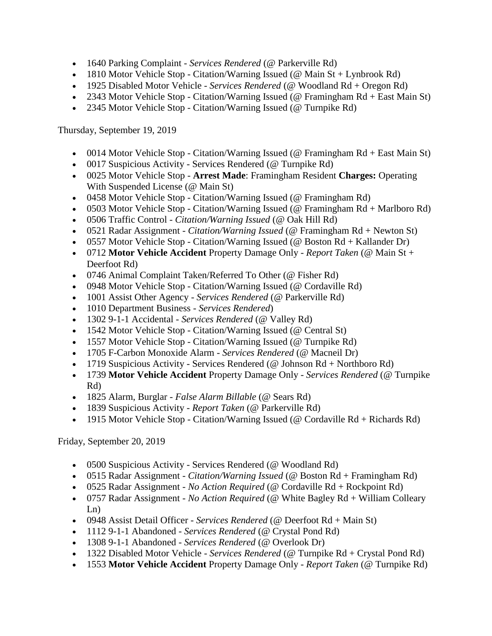- 1640 Parking Complaint *Services Rendered* (@ Parkerville Rd)
- 1810 Motor Vehicle Stop Citation/Warning Issued (@ Main  $St + Lynbrook Rd$ )
- 1925 Disabled Motor Vehicle *Services Rendered* (@ Woodland Rd + Oregon Rd)
- 2343 Motor Vehicle Stop Citation/Warning Issued (@ Framingham Rd + East Main St)
- 2345 Motor Vehicle Stop Citation/Warning Issued (@ Turnpike Rd)

Thursday, September 19, 2019

- 0014 Motor Vehicle Stop Citation/Warning Issued (@ Framingham Rd + East Main St)
- 0017 Suspicious Activity Services Rendered (@ Turnpike Rd)
- 0025 Motor Vehicle Stop **Arrest Made**: Framingham Resident **Charges:** Operating With Suspended License (@ Main St)
- 0458 Motor Vehicle Stop Citation/Warning Issued (@ Framingham Rd)
- 0503 Motor Vehicle Stop Citation/Warning Issued (@ Framingham Rd + Marlboro Rd)
- 0506 Traffic Control *Citation/Warning Issued* (@ Oak Hill Rd)
- 0521 Radar Assignment *Citation/Warning Issued* (@ Framingham Rd + Newton St)
- 0557 Motor Vehicle Stop Citation/Warning Issued (@ Boston  $Rd + Kall$ ander Dr)
- 0712 **Motor Vehicle Accident** Property Damage Only *Report Taken* (@ Main St + Deerfoot Rd)
- 0746 Animal Complaint Taken/Referred To Other (@ Fisher Rd)
- 0948 Motor Vehicle Stop Citation/Warning Issued (@ Cordaville Rd)
- 1001 Assist Other Agency *Services Rendered* (@ Parkerville Rd)
- 1010 Department Business *Services Rendered*)
- 1302 9-1-1 Accidental *Services Rendered* (@ Valley Rd)
- 1542 Motor Vehicle Stop Citation/Warning Issued (@ Central St)
- 1557 Motor Vehicle Stop Citation/Warning Issued (@ Turnpike Rd)
- 1705 F-Carbon Monoxide Alarm *Services Rendered* (@ Macneil Dr)
- 1719 Suspicious Activity Services Rendered (@ Johnson  $Rd$  + Northboro Rd)
- 1739 **Motor Vehicle Accident** Property Damage Only *Services Rendered* (@ Turnpike Rd)
- 1825 Alarm, Burglar *False Alarm Billable* (@ Sears Rd)
- 1839 Suspicious Activity *Report Taken* (@ Parkerville Rd)
- 1915 Motor Vehicle Stop Citation/Warning Issued ( $@$  Cordaville  $Rd + Richards Rd$ )

Friday, September 20, 2019

- 0500 Suspicious Activity Services Rendered (@ Woodland Rd)
- 0515 Radar Assignment *Citation/Warning Issued* (@ Boston Rd + Framingham Rd)
- 0525 Radar Assignment *No Action Required* (@ Cordaville Rd + Rockpoint Rd)
- 0757 Radar Assignment *No Action Required* (@ White Bagley Rd + William Colleary Ln)
- 0948 Assist Detail Officer *Services Rendered* (@ Deerfoot Rd + Main St)
- 1112 9-1-1 Abandoned *Services Rendered* (@ Crystal Pond Rd)
- 1308 9-1-1 Abandoned *Services Rendered* (@ Overlook Dr)
- 1322 Disabled Motor Vehicle *Services Rendered* (@ Turnpike Rd + Crystal Pond Rd)
- 1553 **Motor Vehicle Accident** Property Damage Only *Report Taken* (@ Turnpike Rd)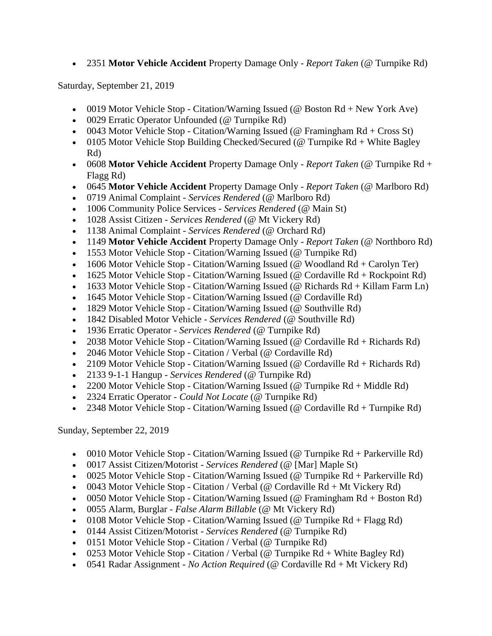2351 **Motor Vehicle Accident** Property Damage Only - *Report Taken* (@ Turnpike Rd)

Saturday, September 21, 2019

- 0019 Motor Vehicle Stop Citation/Warning Issued (@ Boston  $Rd + New York$  Ave)
- 0029 Erratic Operator Unfounded (@ Turnpike Rd)
- 0043 Motor Vehicle Stop Citation/Warning Issued (@ Framingham  $Rd + Cross St$ )
- 0105 Motor Vehicle Stop Building Checked/Secured (@ Turnpike  $Rd +$  White Bagley Rd)
- 0608 **Motor Vehicle Accident** Property Damage Only *Report Taken* (@ Turnpike Rd + Flagg Rd)
- 0645 **Motor Vehicle Accident** Property Damage Only *Report Taken* (@ Marlboro Rd)
- 0719 Animal Complaint *Services Rendered* (@ Marlboro Rd)
- 1006 Community Police Services *Services Rendered* (@ Main St)
- 1028 Assist Citizen *Services Rendered* (@ Mt Vickery Rd)
- 1138 Animal Complaint *Services Rendered* (@ Orchard Rd)
- 1149 **Motor Vehicle Accident** Property Damage Only *Report Taken* (@ Northboro Rd)
- 1553 Motor Vehicle Stop Citation/Warning Issued (@ Turnpike Rd)
- 1606 Motor Vehicle Stop Citation/Warning Issued (@ Woodland  $Rd + Carolyn Ter$ )
- 1625 Motor Vehicle Stop Citation/Warning Issued (@ Cordaville  $Rd + Rockpoint Rd$ )
- 1633 Motor Vehicle Stop Citation/Warning Issued (@ Richards Rd + Killam Farm Ln)
- 1645 Motor Vehicle Stop Citation/Warning Issued (@ Cordaville Rd)
- 1829 Motor Vehicle Stop Citation/Warning Issued (@ Southville Rd)
- 1842 Disabled Motor Vehicle *Services Rendered* (@ Southville Rd)
- 1936 Erratic Operator *Services Rendered* (@ Turnpike Rd)
- 2038 Motor Vehicle Stop Citation/Warning Issued ( $@$  Cordaville Rd + Richards Rd)
- 2046 Motor Vehicle Stop Citation / Verbal (@ Cordaville Rd)
- 2109 Motor Vehicle Stop Citation/Warning Issued ( $@$  Cordaville  $Rd + Richards Rd$ )
- 2133 9-1-1 Hangup *Services Rendered* (@ Turnpike Rd)
- 2200 Motor Vehicle Stop Citation/Warning Issued (@ Turnpike  $Rd + Middle Rd$ )
- 2324 Erratic Operator *Could Not Locate* (@ Turnpike Rd)
- 2348 Motor Vehicle Stop Citation/Warning Issued (@ Cordaville Rd + Turnpike Rd)

Sunday, September 22, 2019

- 0010 Motor Vehicle Stop Citation/Warning Issued (@ Turnpike Rd + Parkerville Rd)
- 0017 Assist Citizen/Motorist *Services Rendered* (@ [Mar] Maple St)
- 0025 Motor Vehicle Stop Citation/Warning Issued (@ Turnpike Rd + Parkerville Rd)
- 0043 Motor Vehicle Stop Citation / Verbal (@ Cordaville  $Rd + Mt$  Vickery  $Rd$ )
- 0050 Motor Vehicle Stop Citation/Warning Issued ( $@$  Framingham Rd + Boston Rd)
- 0055 Alarm, Burglar *False Alarm Billable* (@ Mt Vickery Rd)
- 0108 Motor Vehicle Stop Citation/Warning Issued (@ Turnpike  $Rd + Flagg Rd$ )
- 0144 Assist Citizen/Motorist *Services Rendered* (@ Turnpike Rd)
- 0151 Motor Vehicle Stop Citation / Verbal (@ Turnpike Rd)
- 0253 Motor Vehicle Stop Citation / Verbal (@ Turnpike  $Rd +$  White Bagley  $Rd$ )
- 0541 Radar Assignment *No Action Required* (@ Cordaville Rd + Mt Vickery Rd)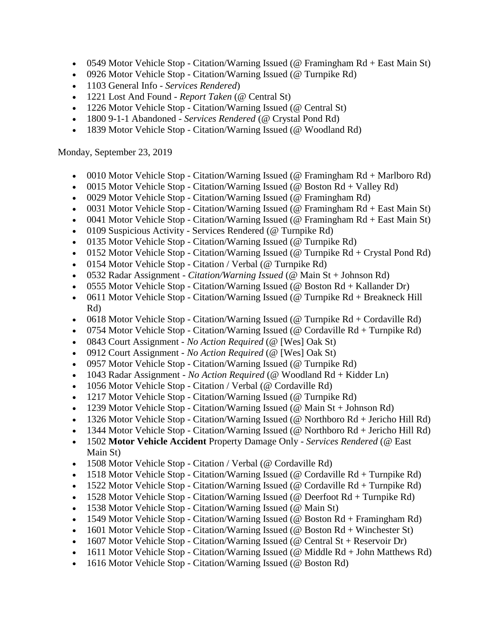- 0549 Motor Vehicle Stop Citation/Warning Issued (@ Framingham Rd + East Main St)
- 0926 Motor Vehicle Stop Citation/Warning Issued (@ Turnpike Rd)
- 1103 General Info *Services Rendered*)
- 1221 Lost And Found *Report Taken* (@ Central St)
- 1226 Motor Vehicle Stop Citation/Warning Issued (@ Central St)
- 1800 9-1-1 Abandoned *Services Rendered* (@ Crystal Pond Rd)
- 1839 Motor Vehicle Stop Citation/Warning Issued (@ Woodland Rd)

Monday, September 23, 2019

- 0010 Motor Vehicle Stop Citation/Warning Issued (@ Framingham Rd + Marlboro Rd)
- 0015 Motor Vehicle Stop Citation/Warning Issued (@ Boston  $Rd + Valuev Rd$ )
- 0029 Motor Vehicle Stop Citation/Warning Issued (@ Framingham Rd)
- 0031 Motor Vehicle Stop Citation/Warning Issued (@ Framingham Rd + East Main St)
- 0041 Motor Vehicle Stop Citation/Warning Issued (@ Framingham Rd + East Main St)
- $\bullet$  0109 Suspicious Activity Services Rendered (@ Turnpike Rd)
- 0135 Motor Vehicle Stop Citation/Warning Issued (@ Turnpike Rd)
- 0152 Motor Vehicle Stop Citation/Warning Issued (@ Turnpike  $Rd + Crystal$  Pond  $Rd$ )
- 0154 Motor Vehicle Stop Citation / Verbal (@ Turnpike Rd)
- 0532 Radar Assignment *Citation/Warning Issued* (@ Main St + Johnson Rd)
- 0555 Motor Vehicle Stop Citation/Warning Issued (@ Boston  $Rd + Kallander Dr$ )
- 0611 Motor Vehicle Stop Citation/Warning Issued (@ Turnpike Rd + Breakneck Hill Rd)
- 0618 Motor Vehicle Stop Citation/Warning Issued (@ Turnpike  $Rd + Cordaville Rd$ )
- 0754 Motor Vehicle Stop Citation/Warning Issued (@ Cordaville Rd + Turnpike Rd)
- 0843 Court Assignment *No Action Required* (@ [Wes] Oak St)
- 0912 Court Assignment *No Action Required* (@ [Wes] Oak St)
- 0957 Motor Vehicle Stop Citation/Warning Issued (@ Turnpike Rd)
- 1043 Radar Assignment *No Action Required* (@ Woodland Rd + Kidder Ln)
- 1056 Motor Vehicle Stop Citation / Verbal (@ Cordaville Rd)
- 1217 Motor Vehicle Stop Citation/Warning Issued (@ Turnpike Rd)
- 1239 Motor Vehicle Stop Citation/Warning Issued ( $@$  Main St + Johnson Rd)
- 1326 Motor Vehicle Stop Citation/Warning Issued (@ Northboro Rd + Jericho Hill Rd)
- 1344 Motor Vehicle Stop Citation/Warning Issued (@ Northboro Rd + Jericho Hill Rd)
- 1502 **Motor Vehicle Accident** Property Damage Only *Services Rendered* (@ East Main St)
- 1508 Motor Vehicle Stop Citation / Verbal (@ Cordaville Rd)
- 1518 Motor Vehicle Stop Citation/Warning Issued ( $@$  Cordaville Rd + Turnpike Rd)
- 1522 Motor Vehicle Stop Citation/Warning Issued (@ Cordaville Rd + Turnpike Rd)
- 1528 Motor Vehicle Stop Citation/Warning Issued ( $@$  Deerfoot Rd + Turnpike Rd)
- 1538 Motor Vehicle Stop Citation/Warning Issued (@ Main St)
- 1549 Motor Vehicle Stop Citation/Warning Issued ( $@$  Boston Rd + Framingham Rd)
- 1601 Motor Vehicle Stop Citation/Warning Issued ( $@$  Boston Rd + Winchester St)
- 1607 Motor Vehicle Stop Citation/Warning Issued (@ Central St + Reservoir Dr)
- 1611 Motor Vehicle Stop Citation/Warning Issued (@ Middle Rd + John Matthews Rd)
- 1616 Motor Vehicle Stop Citation/Warning Issued (@ Boston Rd)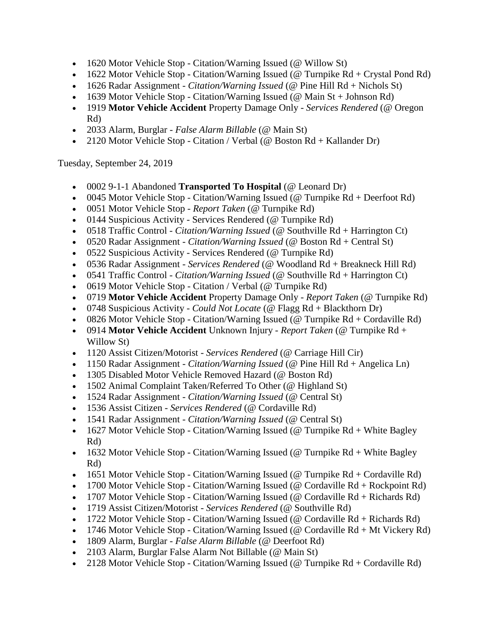- 1620 Motor Vehicle Stop Citation/Warning Issued (@ Willow St)
- 1622 Motor Vehicle Stop Citation/Warning Issued (@ Turnpike  $Rd + C$ rystal Pond Rd)
- 1626 Radar Assignment *Citation/Warning Issued* (@ Pine Hill Rd + Nichols St)
- 1639 Motor Vehicle Stop Citation/Warning Issued ( $@$  Main St + Johnson Rd)
- 1919 **Motor Vehicle Accident** Property Damage Only *Services Rendered* (@ Oregon Rd)
- 2033 Alarm, Burglar *False Alarm Billable* (@ Main St)
- 2120 Motor Vehicle Stop Citation / Verbal (@ Boston Rd + Kallander Dr)

Tuesday, September 24, 2019

- 0002 9-1-1 Abandoned **Transported To Hospital** (@ Leonard Dr)
- 0045 Motor Vehicle Stop Citation/Warning Issued (@ Turnpike  $Rd +$  Deerfoot Rd)
- 0051 Motor Vehicle Stop *Report Taken* (@ Turnpike Rd)
- 0144 Suspicious Activity Services Rendered (@ Turnpike Rd)
- 0518 Traffic Control *Citation/Warning Issued* (@ Southville Rd + Harrington Ct)
- 0520 Radar Assignment *Citation/Warning Issued* (@ Boston Rd + Central St)
- 0522 Suspicious Activity Services Rendered (@ Turnpike Rd)
- 0536 Radar Assignment *Services Rendered* (@ Woodland Rd + Breakneck Hill Rd)
- 0541 Traffic Control *Citation/Warning Issued* (@ Southville Rd + Harrington Ct)
- 0619 Motor Vehicle Stop Citation / Verbal (@ Turnpike Rd)
- 0719 **Motor Vehicle Accident** Property Damage Only *Report Taken* (@ Turnpike Rd)
- 0748 Suspicious Activity *Could Not Locate* (@ Flagg Rd + Blackthorn Dr)
- 0826 Motor Vehicle Stop Citation/Warning Issued (@ Turnpike  $Rd + Cordaville Rd$ )
- 0914 **Motor Vehicle Accident** Unknown Injury *Report Taken* (@ Turnpike Rd + Willow St)
- 1120 Assist Citizen/Motorist *Services Rendered* (@ Carriage Hill Cir)
- 1150 Radar Assignment *Citation/Warning Issued* (@ Pine Hill Rd + Angelica Ln)
- 1305 Disabled Motor Vehicle Removed Hazard (@ Boston Rd)
- 1502 Animal Complaint Taken/Referred To Other (@ Highland St)
- 1524 Radar Assignment *Citation/Warning Issued* (@ Central St)
- 1536 Assist Citizen *Services Rendered* (@ Cordaville Rd)
- 1541 Radar Assignment *Citation/Warning Issued* (@ Central St)
- 1627 Motor Vehicle Stop Citation/Warning Issued (@ Turnpike  $Rd + White$  Bagley Rd)
- 1632 Motor Vehicle Stop Citation/Warning Issued (@ Turnpike  $Rd + White$  Bagley Rd)
- 1651 Motor Vehicle Stop Citation/Warning Issued ( $@$  Turnpike Rd + Cordaville Rd)
- 1700 Motor Vehicle Stop Citation/Warning Issued (@ Cordaville  $Rd + Rockpoint Rd$ )
- 1707 Motor Vehicle Stop Citation/Warning Issued ( $@$  Cordaville  $Rd + Richards Rd$ )
- 1719 Assist Citizen/Motorist *Services Rendered* (@ Southville Rd)
- 1722 Motor Vehicle Stop Citation/Warning Issued ( $@$  Cordaville  $Rd + Richards Rd$ )
- 1746 Motor Vehicle Stop Citation/Warning Issued (@ Cordaville  $Rd + Mt$  Vickery  $Rd$ )
- 1809 Alarm, Burglar *False Alarm Billable* (@ Deerfoot Rd)
- 2103 Alarm, Burglar False Alarm Not Billable (@ Main St)
- 2128 Motor Vehicle Stop Citation/Warning Issued (@ Turnpike  $Rd + Cordaville Rd$ )